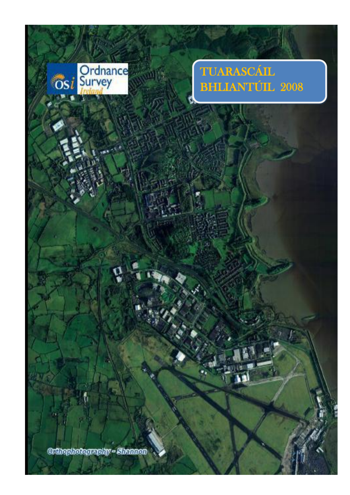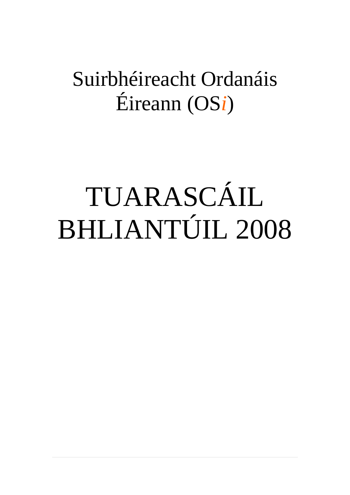# Suirbhéireacht Ordanáis Éireann (OS*i*)

# TUARASCÁIL BHLIANTÚIL 2008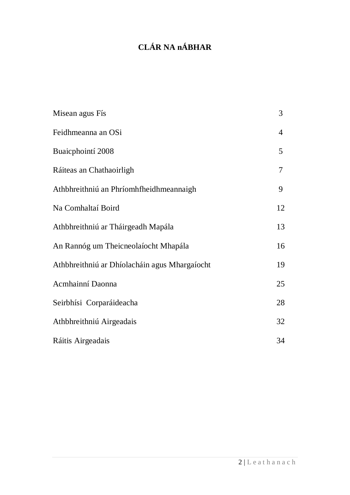# **CLÁR NA nÁBHAR**

| Misean agus Fís                               | 3              |
|-----------------------------------------------|----------------|
| Feidhmeanna an OSi                            | $\overline{4}$ |
| Buaicphointí 2008                             | 5              |
| Ráiteas an Chathaoirligh                      | $\overline{7}$ |
| Athbhreithniú an Phríomhfheidhmeannaigh       | 9              |
| Na Comhaltaí Boird                            | 12             |
| Athbhreithniú ar Tháirgeadh Mapála            | 13             |
| An Rannóg um Theicneolaíocht Mhapála          | 16             |
| Athbhreithniú ar Dhíolacháin agus Mhargaíocht | 19             |
| Acmhainní Daonna                              | 25             |
| Seirbhísi Corparáideacha                      | 28             |
| Athbhreithniú Airgeadais                      | 32             |
| Ráitis Airgeadais                             | 34             |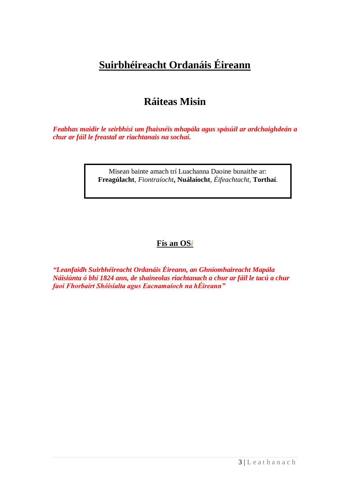# **Suirbhéireacht Ordanáis Éireann**

# **Ráiteas Misin**

*Feabhas maidir le seirbhísí um fhaisnéis mhapála agus spásúil ar ardchaighdeán a chur ar fáil le freastal ar riachtanais na sochaí.*

> Misean bainte amach trí Luachanna Daoine bunaithe ar: **Freagúlacht**, *Fiontraíocht***, Nuálaíocht**, *Éifeachtacht,* **Torthaí**.

# **Fís an OS***i*

*"Leanfaidh Suirbhéireacht Ordanáis Éireann, an Ghníomhaireacht Mapála Náisiúnta ó bhí 1824 ann, de shaineolas riachtanach a chur ar fáil le tacú a chur faoi Fhorbairt Shóisialta agus Eacnamaíoch na hÉireann"*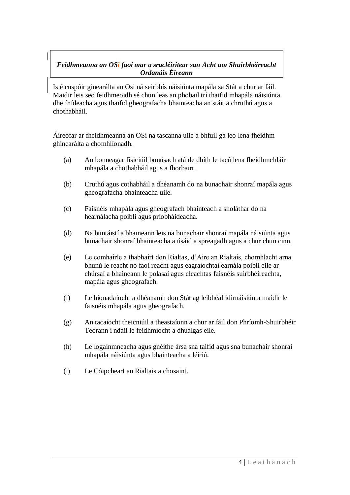# *Feidhmeanna an OSi faoi mar a sracléirítear san Acht um Shuirbhéireacht Ordanáis Éireann*

Is é cuspóir ginearálta an Osi ná seirbhís náisiúnta mapála sa Stát a chur ar fáil. Maidir leis seo feidhmeoidh sé chun leas an phobail trí thaifid mhapála náisiúnta dheifnídeacha agus thaifid gheografacha bhainteacha an stáit a chruthú agus a chothabháil. *Functions of OSi as outlined in the OSi Act 2001.*

Áireofar ar fheidhmeanna an OSi na tascanna uile a bhfuil gá leo lena fheidhm ghinearálta a chomhlíonadh.

- (a) An bonneagar fisiciúil bunúsach atá de dhíth le tacú lena fheidhmchláir mhapála a chothabháil agus a fhorbairt.
- (b) Cruthú agus cothabháil a dhéanamh do na bunachair shonraí mapála agus gheografacha bhainteacha uile.
- (c) Faisnéis mhapála agus gheografach bhainteach a sholáthar do na hearnálacha poiblí agus príobháideacha.
- (d) Na buntáistí a bhaineann leis na bunachair shonraí mapála náisiúnta agus bunachair shonraí bhainteacha a úsáid a spreagadh agus a chur chun cinn.
- (e) Le comhairle a thabhairt don Rialtas, d"Aire an Rialtais, chomhlacht arna bhunú le reacht nó faoi reacht agus eagraíochtaí earnála poiblí eile ar chúrsaí a bhaineann le polasaí agus cleachtas faisnéis suirbhéireachta, mapála agus gheografach.
- (f) Le hionadaíocht a dhéanamh don Stát ag leibhéal idirnáisiúnta maidir le faisnéis mhapála agus gheografach.
- (g) An tacaíocht theicniúil a theastaíonn a chur ar fáil don Phríomh-Shuirbhéir Teorann i ndáil le feidhmíocht a dhualgas eile.
- (h) Le logainmneacha agus gnéithe ársa sna taifid agus sna bunachair shonraí mhapála náisiúnta agus bhainteacha a léiriú.
- (i) Le Cóipcheart an Rialtais a chosaint.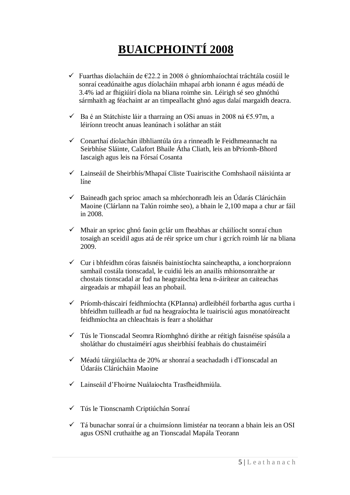# **BUAICPHOINTÍ 2008**

- Fuarthas díolacháin de €22.2 in 2008 ó ghníomhaíochtaí tráchtála cosúil le sonraí ceadúnaithe agus díolacháin mhapaí arbh ionann é agus méadú de 3.4% iad ar fhigiúirí díola na bliana roimhe sin. Léirigh sé seo ghnóthú sármhaith ag féachaint ar an timpeallacht ghnó agus dalaí margaidh deacra.
- $\checkmark$  Ba é an Státchiste láir a tharraing an OSi anuas in 2008 ná €5.97m, a léiríonn treocht anuas leanúnach i soláthar an stáit
- $\checkmark$  Conarthaí díolachán ilbhliantúla úra a rinneadh le Feidhmeannacht na Seirbhíse Sláinte, Calafort Bhaile Átha Cliath, leis an bPríomh-Bhord Iascaigh agus leis na Fórsaí Cosanta
- Lainseáil de Sheirbhís/Mhapaí Cliste Tuairiscithe Comhshaoil náisiúnta ar líne
- $\checkmark$  Baineadh gach sprioc amach sa mhórchonradh leis an Údarás Clárúcháin Maoine (Clárlann na Talún roimhe seo), a bhain le 2,100 mapa a chur ar fáil in 2008.
- $\checkmark$  Mhair an sprioc ghnó faoin gclár um fheabhas ar cháilíocht sonraí chun tosaigh an sceidil agus atá de réir sprice um chur i gcrích roimh lár na bliana 2009.
- $\checkmark$  Cur i bhfeidhm córas faisnéis bainistíochta saincheaptha, a ionchorpraíonn samhail costála tionscadal, le cuidiú leis an anailís mhionsonraithe ar chostais tionscadal ar fud na heagraíochta lena n-áirítear an caiteachas airgeadais ar mhapáil leas an phobail.
- Príomh-tháscairí feidhmíochta (KPIanna) ardleibhéil forbartha agus curtha i bhfeidhm tuilleadh ar fud na heagraíochta le tuairisciú agus monatóireacht feidhmíochta an chleachtais is fearr a sholáthar
- Tús le Tionscadal Seomra Ríomhghnó dírithe ar réitigh faisnéise spásúla a sholáthar do chustaiméirí agus sheirbhísí feabhais do chustaiméirí
- $\checkmark$  Méadú táirgiúlachta de 20% ar shonraí a seachadadh i dTionscadal an Údaráis Clárúcháin Maoine
- $\checkmark$  Lainseáil d'Fhoirne Nuálaíochta Trasfheidhmiúla
- Tús le Tionscnamh Criptiúchán Sonraí
- $\checkmark$  Tá bunachar sonraí úr a chuimsíonn limistéar na teorann a bhain leis an OSI agus OSNI cruthaithe ag an Tionscadal Mapála Teorann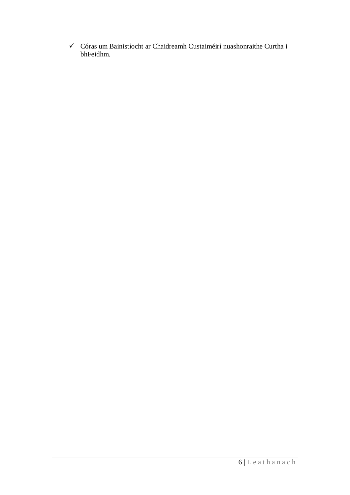$\checkmark$  Córas um Bainistíocht ar Chaidreamh Custaiméirí nuashonraithe Curtha i bhFeidhm.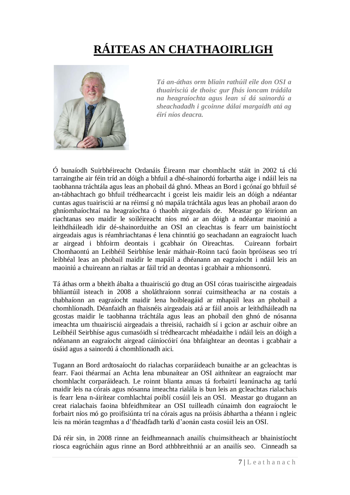# **RÁITEAS AN CHATHAOIRLIGH**



*Tá an-áthas orm bliain rathúil eile don OSI a thuairisciú de thoisc gur fhás ioncam trádála na heagraíochta agus lean sí dá sainordú a sheachadadh i gcoinne dálaí margaidh atá ag éirí níos deacra.*

Ó bunaíodh Suirbhéireacht Ordanáis Éireann mar chomhlacht stáit in 2002 tá clú tarraingthe air féin tríd an dóigh a bhfuil a dhé-shainordú forbartha aige i ndáil leis na taobhanna tráchtála agus leas an phobail dá ghnó. Mheas an Bord i gcónaí go bhfuil sé an-tábhachtach go bhfuil trédhearcacht i gceist leis maidir leis an dóigh a ndéantar cuntas agus tuairisciú ar na réimsí g nó mapála tráchtála agus leas an phobail araon do ghníomhaíochtaí na heagraíochta ó thaobh airgeadais de. Meastar go léiríonn an riachtanas seo maidir le soiléireacht níos mó ar an dóigh a ndéantar maoiniú a leithdháileadh idir dé-shainorduithe an OSI an cleachtas is fearr um bainistíocht airgeadais agus is réamhriachtanas é lena chinntiú go seachadann an eagraíocht luach ar airgead i bhfoirm deontais i gcabhair ón Oireachtas. Cuireann forbairt Chomhaontú an Leibhéil Seirbhíse lenár máthair-Roinn tacú faoin bpróiseas seo trí leibhéal leas an phobail maidir le mapáil a dhéanann an eagraíocht i ndáil leis an maoiniú a chuireann an rialtas ar fáil tríd an deontas i gcabhair a mhionsonrú.

Tá áthas orm a bheith ábalta a thuairisciú go dtug an OSI córas tuairiscithe airgeadais bhliantúil isteach in 2008 a sholáthraíonn sonraí cuimsitheacha ar na costais a thabhaíonn an eagraíocht maidir lena hoibleagáid ar mhapáil leas an phobail a chomhlíonadh. Déanfaidh an fhaisnéis airgeadais atá ar fáil anois ar leithdháileadh na gcostas maidir le taobhanna tráchtála agus leas an phobail den ghnó de nósanna imeachta um thuairisciú airgeadais a threisiú, rachaidh sí i gcion ar aschuir oibre an Leibhéil Seirbhíse agus cumasóidh sí trédhearcacht mhéadaithe i ndáil leis an dóigh a ndéanann an eagraíocht airgead cáiníocóirí óna bhfaightear an deontas i gcabhair a úsáid agus a sainordú á chomhlíonadh aici.

Tugann an Bord ardtosaíocht do rialachas corparáideach bunaithe ar an gcleachtas is fearr. Faoi théarmaí an Achta lena mbunaítear an OSI aithnítear an eagraíocht mar chomhlacht corparáideach. Le roinnt blianta anuas tá forbairtí leanúnacha ag tarlú maidir leis na córais agus nósanna imeachta rialála is bun leis an gcleachtas rialachais is fearr lena n-áirítear comhlachtaí poiblí cosúil leis an OSI. Meastar go dtugann an creat rialachais faoina bhfeidhmítear an OSI tuilleadh cúnaimh don eagraíocht le forbairt níos mó go proifisiúnta trí na córais agus na próisis ábhartha a théann i ngleic leis na mórán teagmhas a d"fhéadfadh tarlú d"aonán casta cosúil leis an OSI.

Dá réir sin, in 2008 rinne an feidhmeannach anailís chuimsitheach ar bhainistíocht riosca eagrúcháin agus rinne an Bord athbhreithniú ar an anailís seo. Cinneadh sa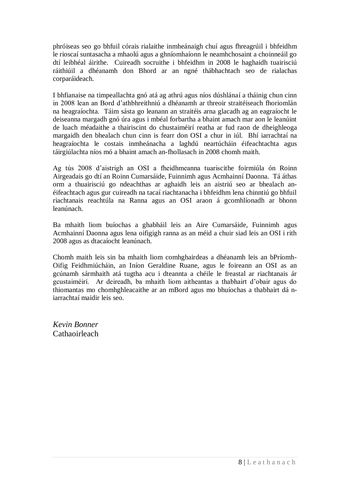phróiseas seo go bhfuil córais rialaithe inmheánaigh chuí agus fhreagrúil i bhfeidhm le rioscaí suntasacha a mhaolú agus a ghníomhaíonn le neamhchosaint a choinneáil go dtí leibhéal áirithe. Cuireadh socruithe i bhfeidhm in 2008 le haghaidh tuairisciú ráithiúil a dhéanamh don Bhord ar an ngné thábhachtach seo de rialachas corparáideach.

I bhfianaise na timpeallachta gnó atá ag athrú agus níos dúshlánaí a tháinig chun cinn in 2008 lean an Bord d"athbhreithniú a dhéanamh ar threoir straitéiseach fhoriomlán na heagraíochta. Táim sásta go leanann an straitéis arna glacadh ag an eagraíocht le deiseanna margadh gnó úra agus i mbéal forbartha a bhaint amach mar aon le leanúint de luach méadaithe a thairiscint do chustaiméirí reatha ar fud raon de dheighleoga margaidh den bhealach chun cinn is fearr don OSI a chur in iúl. Bhí iarrachtaí na heagraíochta le costais inmheánacha a laghdú neartúcháin éifeachtachta agus táirgiúlachta níos mó a bhaint amach an-fhollasach in 2008 chomh maith.

Ag tús 2008 d"aistrigh an OSI a fheidhmeanna tuariscithe foirmiúla ón Roinn Airgeadais go dtí an Roinn Cumarsáide, Fuinnimh agus Acmhainní Daonna. Tá áthas orm a thuairisciú go ndeachthas ar aghaidh leis an aistriú seo ar bhealach anéifeachtach agus gur cuireadh na tacaí riachtanacha i bhfeidhm lena chinntiú go bhfuil riachtanais reachtúla na Ranna agus an OSI araon á gcomhlíonadh ar bhonn leanúnach.

Ba mhaith liom buíochas a ghabháil leis an Aire Cumarsáide, Fuinnimh agus Acmhainní Daonna agus lena oifigigh ranna as an méid a chuir siad leis an OSI i rith 2008 agus as dtacaíocht leanúnach.

Chomh maith leis sin ba mhaith liom comhghairdeas a dhéanamh leis an bPríomh-Oifig Feidhmiúcháin, an Iníon Geraldine Ruane, agus le foireann an OSI as an gcúnamh sármhaith atá tugtha acu i dteannta a chéile le freastal ar riachtanais ár gcustaiméirí. Ar deireadh, ba mhaith liom aitheantas a thabhairt d"obair agus do thiomantas mo chomhghleacaithe ar an mBord agus mo bhuíochas a thabhairt dá niarrachtaí maidir leis seo.

*Kevin Bonner* Cathaoirleach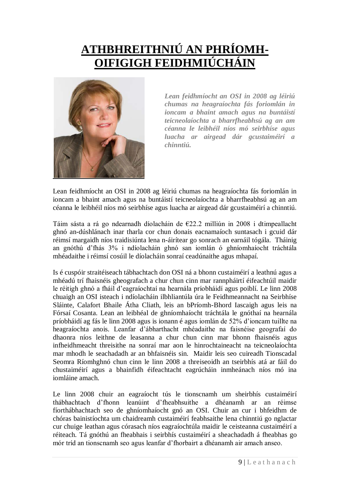# **ATHBHREITHNIÚ AN PHRÍOMH-OIFIGIGH FEIDHMIÚCHÁIN**



*Lean feidhmíocht an OSI in 2008 ag léiriú chumas na heagraíochta fás foriomlán in ioncam a bhaint amach agus na buntáistí teicneolaíochta a bharrfheabhsú ag an am céanna le leibhéil níos mó seirbhíse agus luacha ar airgead dár gcustaiméirí a chinntiú.*

Lean feidhmíocht an OSI in 2008 ag léiriú chumas na heagraíochta fás foriomlán in ioncam a bhaint amach agus na buntáistí teicneolaíochta a bharrfheabhsú ag an am céanna le leibhéil níos mó seirbhíse agus luacha ar airgead dár gcustaiméirí a chinntiú*.* 

Táim sásta a rá go ndearnadh díolacháin de €22.2 milliún in 2008 i dtimpeallacht ghnó an-dúshlánach inar tharla cor chun donais eacnamaíoch suntasach i gcuid dár réimsí margaidh níos traidisiúnta lena n-áirítear go sonrach an earnáil tógála. Tháinig an gnóthú d"fhás 3% i ndíolacháin ghnó san iomlán ó ghníomhaíocht tráchtála mhéadaithe i réimsí cosúil le díolacháin sonraí ceadúnaithe agus mhapaí.

Is é cuspóir straitéiseach tábhachtach don OSI ná a bhonn custaiméirí a leathnú agus a mhéadú trí fhaisnéis gheografach a chur chun cinn mar rannpháirtí éifeachtúil maidir le réitigh ghnó a fháil d"eagraíochtaí na hearnála príobháidí agus poiblí. Le linn 2008 chuaigh an OSI isteach i ndíolacháin ilbhliantúla úra le Feidhmeannacht na Seirbhíse Sláinte, Calafort Bhaile Átha Cliath, leis an bPríomh-Bhord Iascaigh agus leis na Fórsaí Cosanta. Lean an leibhéal de ghníomhaíocht tráchtála le gnóthaí na hearnála príobháidí ag fás le linn 2008 agus is ionann é agus iomlán de 52% d"ioncam tuillte na heagraíochta anois. Leanfar d"ábharthacht mhéadaithe na faisnéise geografaí do dhaonra níos leithne de leasanna a chur chun cinn mar bhonn fhaisnéis agus infheidhmeacht threisithe na sonraí mar aon le hinrochtaineacht na teicneolaíochta mar mhodh le seachadadh ar an bhfaisnéis sin. Maidir leis seo cuireadh Tionscadal Seomra Ríomhghnó chun cinn le linn 2008 a threiseoidh an tseirbhís atá ar fáil do chustaiméirí agus a bhainfidh éifeachtacht eagrúcháin inmheánach níos mó ina iomláine amach.

Le linn 2008 chuir an eagraíocht tús le tionscnamh um sheirbhís custaiméirí thábhachtach d"fhonn leanúint d"fheabhsuithe a dhéanamh ar an réimse fíorthábhachtach seo de ghníomhaíocht gnó an OSI. Chuir an cur i bhfeidhm de chóras bainistíochta um chaidreamh custaiméirí feabhsaithe lena chinntiú go nglactar cur chuige leathan agus córasach níos eagraíochtúla maidir le ceisteanna custaiméirí a réiteach. Tá gnóthú an fheabhais i seirbhís custaiméirí a sheachadadh á fheabhas go mór tríd an tionscnamh seo agus leanfar d"fhorbairt a dhéanamh air amach anseo.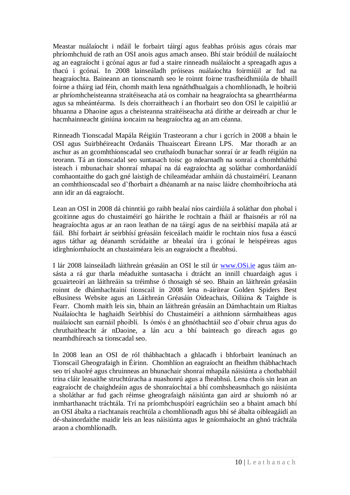Meastar nuálaíocht i ndáil le forbairt táirgí agus feabhas próisis agus córais mar phríomhchuid de rath an OSI anois agus amach anseo. Bhí stair bródúil de nuálaíocht ag an eagraíocht i gcónaí agus ar fud a staire rinneadh nuálaíocht a spreagadh agus a thacú i gcónaí. In 2008 lainseáladh próiseas nuálaíochta foirmiúil ar fud na heagraíochta. Baineann an tionscnamh seo le roinnt foirne trasfheidhmiúla de bhaill foirne a tháirg iad féin, chomh maith lena ngnáthdhualgais a chomhlíonadh, le hoibriú ar phríomhcheisteanna straitéiseacha atá os comhair na heagraíochta sa ghearrthéarma agus sa mheántéarma. Is deis chorraitheach í an fhorbairt seo don OSI le caipitliú ar bhuanna a Dhaoine agus a cheisteanna straitéiseacha atá dírithe ar deireadh ar chur le hacmhainneacht giniúna ioncaim na heagraíochta ag an am céanna.

Rinneadh Tionscadal Mapála Réigiún Trasteorann a chur i gcrích in 2008 a bhain le OSI agus Suirbhéireacht Ordanáis Thuaisceart Éireann LPS. Mar thoradh ar an aschur as an gcomhthionscadal seo cruthaíodh bunachar sonraí úr ar feadh réigiún na teorann. Tá an tionscadal seo suntasach toisc go ndearnadh na sonraí a chomhtháthú isteach i mbunachair shonraí mhapaí na dá eagraíochta ag soláthar comhordanáidí comhaontaithe do gach gné laistigh de chileaméadar amháin dá chustaiméirí. Leanann an comhthionscadal seo d"fhorbairt a dhéanamh ar na naisc láidre chomhoibríocha atá ann idir an dá eagraíocht.

Lean an OSI in 2008 dá chinntiú go raibh bealaí níos cairdiúla á soláthar don phobal i gcoitinne agus do chustaiméirí go háirithe le rochtain a fháil ar fhaisnéis ar ról na heagraíochta agus ar an raon leathan de na táirgí agus de na seirbhísí mapála atá ar fáil. Bhí forbairt ár seirbhísí gréasáin feiceálach maidir le rochtain níos fusa a éascú agus táthar ag déanamh scrúdaithe ar bhealaí úra i gcónaí le heispéireas agus idirghníomhaíocht an chustaiméara leis an eagraíocht a fheabhsú.

I lár 2008 lainseáladh láithreán gréasáin an OSI le stíl úr [www.OSi.ie](http://www.osi.ie/) agus táim ansásta a rá gur tharla méaduithe suntasacha i dtrácht an innill chuardaigh agus i gcuairteoirí an láithreáin sa tréimhse ó thosaigh sé seo. Bhain an láithreán gréasáin roinnt de dhámhachtainí tionscail in 2008 lena n-áirítear Golden Spiders Best eBusiness Website agus an Láithreán Gréasáin Oideachais, Oiliúna & Taighde is Fearr. Chomh maith leis sin, bhain an láithreán gréasáin an Dámhachtain um Rialtas Nuálaíochta le haghaidh Seirbhísí do Chustaiméirí a aithníonn sármhaitheas agus nuálaíocht san earnáil phoiblí. Is ómós é an ghnóthachtáil seo d"obair chrua agus do chruthaitheacht ár nDaoine, a lán acu a bhí bainteach go díreach agus go neamhdhíreach sa tionscadal seo.

In 2008 lean an OSI de ról thábhachtach a ghlacadh i bhforbairt leanúnach an Tionscail Gheografaigh in Éirinn. Chomhlíon an eagraíocht an fheidhm thábhachtach seo trí shaolré agus chruinneas an bhunachair shonraí mhapála náisiúnta a chothabháil trína cláir leasaithe struchtúracha a nuashonrú agus a fheabhsú. Lena chois sin lean an eagraíocht de chaighdeáin agus de shonraíochtaí a bhí comhsheasmhach go náisiúnta a sholáthar ar fud gach réimse gheografaigh náisiúnta gan aird ar shuíomh nó ar inmharthanacht tráchtála. Trí na príomhchuspóirí eagrúcháin seo a bhaint amach bhí an OSI ábalta a riachtanais reachtúla a chomhlíonadh agus bhí sé ábalta oibleagáidí an dé-shainordaithe maidir leis an leas náisiúnta agus le gníomhaíocht an ghnó tráchtála araon a chomhlíonadh.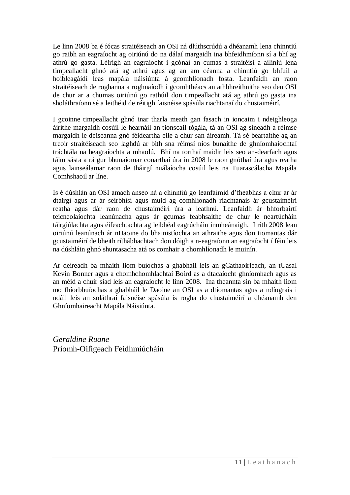Le linn 2008 ba é fócas straitéiseach an OSI ná dlúthscrúdú a dhéanamh lena chinntiú go raibh an eagraíocht ag oiriúnú do na dálaí margaidh ina bhfeidhmíonn sí a bhí ag athrú go gasta. Léirigh an eagraíocht i gcónaí an cumas a straitéisí a ailíniú lena timpeallacht ghnó atá ag athrú agus ag an am céanna a chinntiú go bhfuil a hoibleagáidí leas mapála náisiúnta á gcomhlíonadh fosta. Leanfaidh an raon straitéiseach de roghanna a roghnaíodh i gcomhthéacs an athbhreithnithe seo den OSI de chur ar a chumas oiriúnú go rathúil don timpeallacht atá ag athrú go gasta ina sholáthraíonn sé a leithéid de réitigh faisnéise spásúla riachtanaí do chustaiméirí.

I gcoinne timpeallacht ghnó inar tharla meath gan fasach in ioncaim i ndeighleoga áiríthe margaidh cosúil le hearnáil an tionscail tógála, tá an OSI ag síneadh a réimse margaidh le deiseanna gnó féideartha eile a chur san áireamh. Tá sé beartaithe ag an treoir straitéiseach seo laghdú ar bith sna réimsí níos bunaithe de ghníomhaíochtaí tráchtála na heagraíochta a mhaolú. Bhí na torthaí maidir leis seo an-dearfach agus táim sásta a rá gur bhunaíomar conarthaí úra in 2008 le raon gnóthaí úra agus reatha agus lainseálamar raon de tháirgí nuálaíocha cosúil leis na Tuarascálacha Mapála Comhshaoil ar líne.

Is é dúshlán an OSI amach anseo ná a chinntiú go leanfaimid d"fheabhas a chur ar ár dtáirgí agus ar ár seirbhísí agus muid ag comhlíonadh riachtanais ár gcustaiméirí reatha agus dár raon de chustaiméirí úra a leathnú. Leanfaidh ár bhforbairtí teicneolaíochta leanúnacha agus ár gcumas feabhsaithe de chur le neartúcháin táirgiúlachta agus éifeachtachta ag leibhéal eagrúcháin inmheánaigh. I rith 2008 lean oiriúnú leanúnach ár nDaoine do bhainistíochta an athraithe agus don tiomantas dár gcustaiméirí de bheith ríthábhachtach don dóigh a n-eagraíonn an eagraíocht í féin leis na dúshláin ghnó shuntasacha atá os comhair a chomhlíonadh le muinín.

Ar deireadh ba mhaith liom buíochas a ghabháil leis an gCathaoirleach, an tUasal Kevin Bonner agus a chomhchomhlachtaí Boird as a dtacaíocht ghníomhach agus as an méid a chuir siad leis an eagraíocht le linn 2008. Ina theannta sin ba mhaith liom mo fhíorbhuíochas a ghabháil le Daoine an OSI as a dtiomantas agus a ndíograis i ndáil leis an soláthraí faisnéise spásúla is rogha do chustaiméirí a dhéanamh den Ghníomhaireacht Mapála Náisiúnta.

*Geraldine Ruane* Príomh-Oifigeach Feidhmiúcháin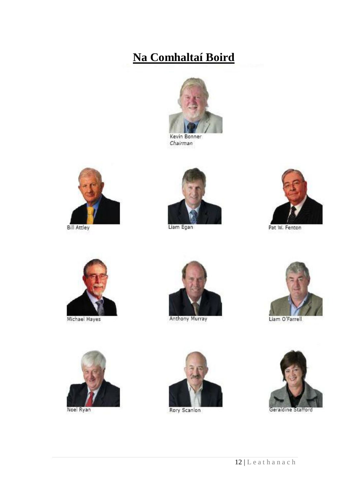# **Na Comhaltaí Boird**



Kevin Bonner Chairman



**Bill Attley** 



Liam Egan



Pat W. Fenton



Michael Hayes



**Anthony Murray** 





Noel Ryan



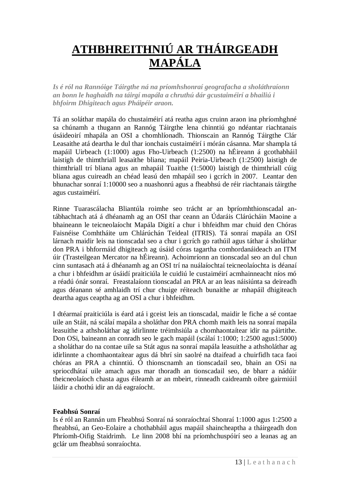# **ATHBHREITHNIÚ AR THÁIRGEADH MAPÁLA**

*Is é ról na Rannóige Táirgthe ná na príomhshonraí geografacha a sholáthraíonn an bonn le haghaidh na táirgí mapála a chruthú dár gcustaiméirí a bhailiú i bhfoirm Dhigiteach agus Pháipéir araon.*

Tá an soláthar mapála do chustaiméirí atá reatha agus cruinn araon ina phríomhghné sa chúnamh a thugann an Rannóg Táirgthe lena chinntiú go ndéantar riachtanais úsáideoirí mhapála an OSI a chomhlíonadh. Thionscain an Rannóg Táirgthe Clár Leasaithe atá deartha le dul thar ionchais custaiméirí i mórán cásanna. Mar shampla tá mapáil Uirbeach (1:1000) agus Fho-Uirbeach (1:2500) na hÉireann á gcothabháil laistigh de thimthriall leasaithe bliana; mapáil Peiria-Uirbeach (1:2500) laistigh de thimthriall trí bliana agus an mhapáil Tuaithe (1:5000) laistigh de thimthriall cúig bliana agus cuireadh an chéad leasú den mhapáil seo i gcrích in 2007. Leantar den bhunachar sonraí 1:10000 seo a nuashonrú agus a fheabhsú de réir riachtanais táirgthe agus custaiméirí.

Rinne Tuarascálacha Bliantúla roimhe seo trácht ar an bpríomhthionscadal antábhachtach atá á dhéanamh ag an OSI thar ceann an Údaráis Clárúcháin Maoine a bhaineann le teicneolaíocht Mapála Digití a chur i bhfeidhm mar chuid den Chóras Faisnéise Comhtháite um Chlárúchán Teideal (ITRIS). Tá sonraí mapála an OSI lárnach maidir leis na tionscadal seo a chur i gcrích go rathúil agus táthar á sholáthar don PRA i bhformáid dhigiteach ag úsáid córas tagartha comhordanáideach an ITM úir (Trasteilgean Mercator na hÉireann). Achoimríonn an tionscadal seo an dul chun cinn suntasach atá á dhéanamh ag an OSI trí na nuálaíochtaí teicneolaíochta is déanaí a chur i bhfeidhm ar úsáidí praiticiúla le cuidiú le custaiméirí acmhainneacht níos mó a réadú ónár sonraí. Freastalaíonn tionscadal an PRA ar an leas náisiúnta sa deireadh agus déanann sé amhlaidh trí chur chuige réiteach bunaithe ar mhapáil dhigiteach deartha agus ceaptha ag an OSI a chur i bhfeidhm.

I dtéarmaí praiticiúla is éard atá i gceist leis an tionscadal, maidir le fiche a sé contae uile an Stáit, ná scálaí mapála a sholáthar don PRA chomh maith leis na sonraí mapála leasuithe a athsholáthar ag idirlinnte tréimhsiúla a chomhaontaítear idir na páirtithe. Don OSi, baineann an conradh seo le gach mapáil (scálaí 1:1000; 1:2500 agus1:5000) a sholáthar do na contae uile sa Stát agus na sonraí mapála leasuithe a athsholáthar ag idirlinnte a chomhaontaítear agus dá bhrí sin saolré na dtaifead a chuirfidh taca faoi chóras an PRA a chinntiú. Ó thionscnamh an tionscadail seo, bhain an OSi na spriocdhátaí uile amach agus mar thoradh an tionscadail seo, de bharr a nádúir theicneolaíoch chasta agus éileamh ar an mbeirt, rinneadh caidreamh oibre gairmiúil láidir a chothú idir an dá eagraíocht.

# **Feabhsú Sonraí**

Is é ról an Rannán um Fheabhsú Sonraí ná sonraíochtaí Shonraí 1:1000 agus 1:2500 a fheabhsú, an Geo-Eolaire a chothabháil agus mapáil shaincheaptha a tháirgeadh don Phríomh-Oifig Staidrimh. Le linn 2008 bhí na príomhchuspóirí seo a leanas ag an gclár um fheabhsú sonraíochta.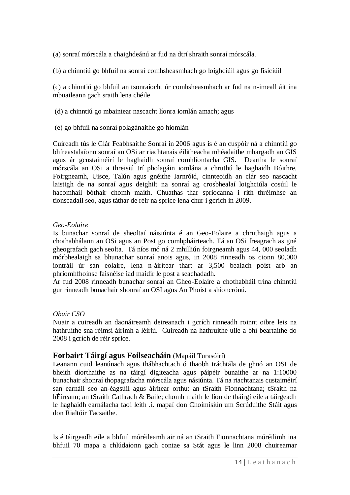(a) sonraí mórscála a chaighdeánú ar fud na dtrí shraith sonraí mórscála.

(b) a chinntiú go bhfuil na sonraí comhsheasmhach go loighciúil agus go fisiciúil

(c) a chinntiú go bhfuil an tsonraíocht úr comhsheasmhach ar fud na n-imeall áit ina mbuaileann gach sraith lena chéile

(d) a chinntiú go mbaintear nascacht líonra iomlán amach; agus

(e) go bhfuil na sonraí polagánaithe go hiomlán

Cuireadh tús le Clár Feabhsaithe Sonraí in 2006 agus is é an cuspóir ná a chinntiú go bhfreastalaíonn sonraí an OSi ar riachtanais éilitheacha mhéadaithe mhargadh an GIS agus ár gcustaiméirí le haghaidh sonraí comhlíontacha GIS. Deartha le sonraí mórscála an OSi a threisiú trí pholagáin iomlána a chruthú le haghaidh Bóithre, Foirgneamh, Uisce, Talún agus gnéithe Iarnróid, cinnteoidh an clár seo nascacht laistigh de na sonraí agus deighilt na sonraí ag crosbhealaí loighciúla cosúil le hacomhail bóthair chomh maith. Chuathas thar spriocanna i rith thréimhse an tionscadail seo, agus táthar de réir na sprice lena chur i gcrích in 2009.

# *Geo-Eolaire*

Is bunachar sonraí de sheoltaí náisiúnta é an Geo-Eolaire a chruthaigh agus a chothabhálann an OSi agus an Post go comhpháirteach. Tá an OSi freagrach as gné gheografach gach seolta. Tá níos mó ná 2 mhilliún foirgneamh agus 44, 000 seoladh mórbhealaigh sa bhunachar sonraí anois agus, in 2008 rinneadh os cionn 80,000 iontráil úr san eolaire, lena n-áirítear thart ar 3,500 bealach poist arb an phríomhfhoinse faisnéise iad maidir le post a seachadadh.

Ar fud 2008 rinneadh bunachar sonraí an Gheo-Eolaire a chothabháil trína chinntiú gur rinneadh bunachair shonraí an OSI agus An Phoist a shioncrónú.

# *Obair CSO*

Nuair a cuireadh an daonáireamh deireanach i gcrích rinneadh roinnt oibre leis na hathruithe sna réimsí áirimh a léiriú. Cuireadh na hathruithe uile a bhí beartaithe do 2008 i gcrích de réir sprice.

# **Forbairt Táirgí agus Foilseacháin** (Mapáil Turasóirí)

Leanann cuid leanúnach agus thábhachtach ó thaobh tráchtála de ghnó an OSI de bheith díorthaithe as na táirgí digiteacha agus páipéir bunaithe ar na 1:10000 bunachair shonraí thopagrafacha mórscála agus násiúnta. Tá na riachtanais custaiméirí san earnáil seo an-éagsúil agus áirítear orthu: an tSraith Fionnachtana; tSraith na hÉireann; an tSraith Cathrach & Baile; chomh maith le líon de tháirgí eile a táirgeadh le haghaidh earnálacha faoi leith .i. mapaí don Choimisiún um Scrúduithe Stáit agus don Rialtóir Tacsaithe.

Is é táirgeadh eile a bhfuil móréileamh air ná an tSraith Fionnachtana móréilimh ina bhfuil 70 mapa a chlúdaíonn gach contae sa Stát agus le linn 2008 chuireamar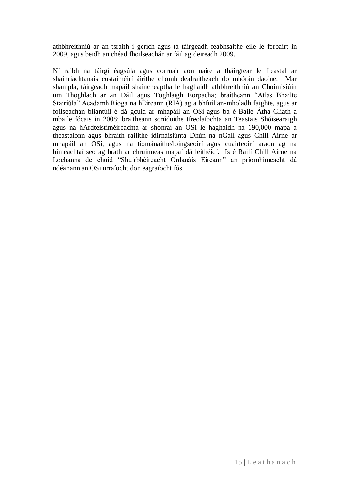athbhreithniú ar an tsraith i gcrích agus tá táirgeadh feabhsaithe eile le forbairt in 2009, agus beidh an chéad fhoilseachán ar fáil ag deireadh 2009.

Ní raibh na táirgí éagsúla agus corruair aon uaire a tháirgtear le freastal ar shainriachtanais custaiméirí áirithe chomh dealraitheach do mhórán daoine. Mar shampla, táirgeadh mapáil shaincheaptha le haghaidh athbhreithniú an Choimisiúin um Thoghlach ar an Dáil agus Toghlaigh Eorpacha; braitheann "Atlas Bhailte Stairiúla" Acadamh Ríoga na hÉireann (RIA) ag a bhfuil an-mholadh faighte, agus ar foilseachán bliantúil é dá gcuid ar mhapáil an OSi agus ba é Baile Átha Cliath a mbaile fócais in 2008; braitheann scrúduithe tíreolaíochta an Teastais Shóisearaigh agus na hArdteistiméireachta ar shonraí an OSi le haghaidh na 190,000 mapa a theastaíonn agus bhraith railithe idirnáisiúnta Dhún na nGall agus Chill Airne ar mhapáil an OSi, agus na tiománaithe/loingseoirí agus cuairteoirí araon ag na himeachtaí seo ag brath ar chruinneas mapaí dá leithéidí. Is é Railí Chill Airne na Lochanna de chuid "Shuirbhéireacht Ordanáis Éireann" an príomhimeacht dá ndéanann an OSi urraíocht don eagraíocht fós.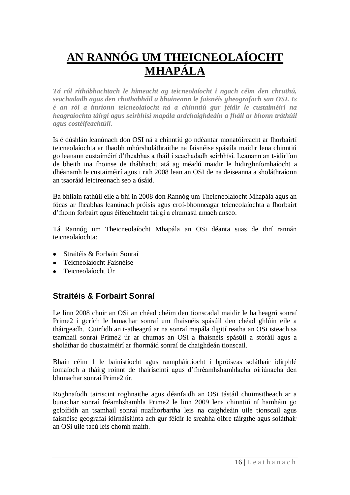# **AN RANNÓG UM THEICNEOLAÍOCHT MHAPÁLA**

*Tá ról ríthábhachtach le himeacht ag teicneolaíocht i ngach céim den chruthú, seachadadh agus den chothabháil a bhaineann le faisnéis gheografach san OSI. Is é an ról a imríonn teicneolaíocht ná a chinntiú gur féidir le custaiméirí na heagraíochta táirgí agus seirbhísí mapála ardchaighdeáin a fháil ar bhonn tráthúil agus costéifeachtúil.*

Is é dúshlán leanúnach don OSI ná a chinntiú go ndéantar monatóireacht ar fhorbairtí teicneolaíochta ar thaobh mhórsholáthraithe na faisnéise spásúla maidir lena chinntiú go leanann custaiméirí d"fheabhas a fháil i seachadadh seirbhísí. Leanann an t-idirlíon de bheith ina fhoinse de thábhacht atá ag méadú maidir le hidirghníomhaíocht a dhéanamh le custaiméirí agus i rith 2008 lean an OSI de na deiseanna a sholáthraíonn an tsaoráid leictreonach seo a úsáid.

Ba bhliain rathúil eile a bhí in 2008 don Rannóg um Theicneolaíocht Mhapála agus an fócas ar fheabhas leanúnach próisis agus croí-bhonneagar teicneolaíochta a fhorbairt d"fhonn forbairt agus éifeachtacht táirgí a chumasú amach anseo.

Tá Rannóg um Theicneolaíocht Mhapála an OSi déanta suas de thrí rannán teicneolaíochta:

- Straitéis & Forbairt Sonraí
- Teicneolaíocht Faisnéise
- Teicneolaíocht Úr

# **Straitéis & Forbairt Sonraí**

Le linn 2008 chuir an OSi an chéad chéim den tionscadal maidir le hatheagrú sonraí Prime2 i gcrích le bunachar sonraí um fhaisnéis spásúil den chéad ghlúin eile a tháirgeadh. Cuirfidh an t-atheagrú ar na sonraí mapála digití reatha an OSi isteach sa tsamhail sonraí Prime2 úr ar chumas an OSi a fhaisnéis spásúil a stóráil agus a sholáthar do chustaiméirí ar fhormáid sonraí de chaighdeán tionscail.

Bhain céim 1 le bainistíocht agus rannpháirtíocht i bpróiseas soláthair idirphlé iomaíoch a tháirg roinnt de thairiscintí agus d"fhréamhshamhlacha oiriúnacha den bhunachar sonraí Prime2 úr.

Roghnaíodh tairiscint roghnaithe agus déanfaidh an OSi tástáil chuimsitheach ar a bunachar sonraí fréamhshamhla Prime2 le linn 2009 lena chinntiú ní hamháin go gcloífidh an tsamhail sonraí nuafhorbartha leis na caighdeáin uile tionscail agus faisnéise geografaí idirnáisiúnta ach gur féidir le sreabha oibre táirgthe agus soláthair an OSi uile tacú leis chomh maith.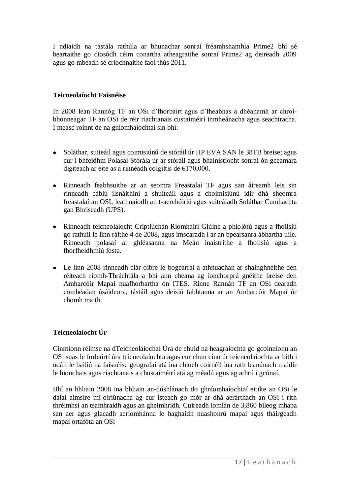I ndiaidh na tástála rathúla ar bhunachar sonraí fréamhshamhla Prime2 bhí sé beartaithe go dtosódh céim conartha atheagraithe sonraí Prime2 ag deireadh 2009 agus go mbeadh sé críochnaithe faoi thús 2011.

# **Teicneolaíocht Faisnéise**

In 2008 lean Rannóg TF an OSi d"fhorbairt agus d"fheabhas a dhéanamh ar chroíbhonneagar TF an OSi de réir riachtanais custaiméirí inmheánacha agus seachtracha. I measc roinnt de na gníomhaíochtaí sin bhí:

- Soláthar, suiteáil agus coimisiúnú de stóráil úr HP EVA SAN le 38TB breise; agus cur i bhfeidhm Polasaí Stórála úr ar stóráil agus bhainistíocht sonraí ón gceamara digiteach ar eite as a rinneadh coigiltis de  $\epsilon$ 170,000.
- Rinneadh feabhsuithe ar an seomra Freastalaí TF agus san áireamh leis sin rinneadh cáblú ilsnáithíní a shuiteáil agus a choimisiúnú idir dhá sheomra freastalaí an OSI, leathnaíodh an t-aerchóiriú agus suiteáladh Soláthar Cumhachta gan Bhriseadh (UPS).
- $\bullet$ Rinneadh teicneolaíocht Criptiúchán Ríomhairí Glúine a phíolótú agus a fhoilsiú go rathúil le linn ráithe 4 de 2008, agus imscaradh í ar an bpearsanra ábhartha uile. Rinneadh polasaí ar ghléasanna na Meán inaistrithe a fhoilsiú agus a fhorfheidhmiú fosta.
- Le linn 2008 rinneadh clár oibre le bogearraí a athnuachan ar shainghnéithe den réiteach ríomh-Thráchtála a bhí ann cheana ag ionchorprú gnéithe breise den Amharcóir Mapaí nuafhorbartha ón ITES. Rinne Rannán TF an OSi dearadh comhéadan úsáideora, tástáil agus deisiú fabhtanna ar an Amharcóir Mapaí úr chomh maith.

# **Teicneolaíocht Úr**

Cinntíonn réimse na dTeicneolaíochaí Úra de chuid na heagraíochta go gcoinníonn an OSi suas le forbairtí úra teicneolaíochta agus cur chun cinn úr teicneolaíochta ar bith i ndáil le bailiú na faisnéise geografaí atá ina chloch coirnéil ina rath leanúnach maidir le hionchais agus riachtanais a chustaiméirí atá ag méadú agus ag athrú i gcónaí.

Bhí an bhliain 2008 ina bhliain an-dúshlánach do ghníomhaíochtaí eitilte an OSi le dálaí aimsire mí-oiriúnacha ag cur isteach go mór ar dhá aerárthach an OSi i rith thréimhsí an tsamhraidh agus an gheimhridh. Cuireadh iomlán de 3,860 bileog mhapa san aer agus glacadh aeríomhánna le haghaidh nuashonrú mapaí agus tháirgeadh mapaí ortafóta an OSi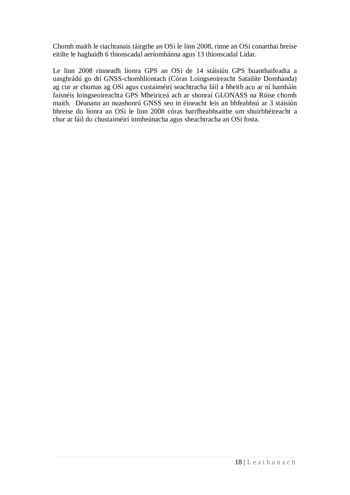Chomh maith le riachtanais táirgthe an OSi le linn 2008, rinne an OSi conarthaí breise eitilte le haghaidh 6 thionscadal aeríomhánna agus 13 thionscadal Lidar.

Le linn 2008 rinneadh líonra GPS an OSi de 14 stáisiún GPS buanthaifeadta a uasghrádú go dtí GNSS-chomhlíontach (Córas Loingseoireacht Satailíte Domhanda) ag cur ar chumas ag OSi agus custaiméirí seachtracha fáil a bheith acu ar ní hamháin faisnéis loingseoireachta GPS Mheiriceá ach ar shonraí GLONASS na Rúise chomh maith. Déanann an nuashonrú GNSS seo in éineacht leis an bhfeabhsú ar 3 stáisiún bhreise do líonra an OSi le linn 2008 córas barrfheabhsaithe um shuirbhéireacht a chur ar fáil do chustaiméirí inmheánacha agus sheachtracha an OSi fosta.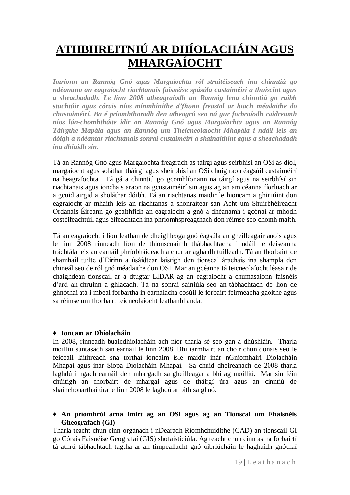# **ATHBHREITNIÚ AR DHÍOLACHÁIN AGUS MHARGAÍOCHT**

*Imríonn an Rannóg Gnó agus Margaíochta ról straitéiseach ina chinntiú go ndéanann an eagraíocht riachtanais faisnéise spásúla custaiméirí a thuiscint agus a sheachadadh. Le linn 2008 atheagraíodh an Rannóg lena chinntiú go raibh stuchtúir agus córais níos mínmhínithe d'fhonn freastal ar luach méadaithe do chustaiméirí. Ba é príomhthoradh den atheagrú seo ná gur forbraíodh caidreamh níos lán-chomhtháite idir an Rannóg Gnó agus Margaíochta agus an Rannóg Táirgthe Mapála agus an Rannóg um Theicneolaíocht Mhapála i ndáil leis an dóigh a ndéantar riachtanais sonraí custaiméirí a shainaithint agus a sheachadadh ina dhiaidh sin.*

Tá an Rannóg Gnó agus Margaíochta freagrach as táirgí agus seirbhísí an OSi as díol, margaíocht agus soláthar tháirgí agus sheirbhísí an OSi chuig raon éagsúil custaiméirí na heagraíochta. Tá gá a chinntiú go gcomhlíonann na táirgí agus na seirbhísí sin riachtanais agus ionchais araon na gcustaiméirí sin agus ag an am céanna fíorluach ar a gcuid airgid a sholáthar dóibh. Tá an riachtanas maidir le hioncam a ghiniúint don eagraíocht ar mhaith leis an riachtanas a shonraítear san Acht um Shuirbhéireacht Ordanáis Éireann go gcaithfidh an eagraíocht a gnó a dhéanamh i gcónaí ar mhodh costéifeachtúil agus éifeachtach ina phríomhspreagthach don réimse seo chomh maith.

Tá an eagraíocht i líon leathan de dheighleoga gnó éagsúla an gheilleagair anois agus le linn 2008 rinneadh líon de thionscnaimh thábhachtacha i ndáil le deiseanna tráchtála leis an earnáil phríobháideach a chur ar aghaidh tuilleadh. Tá an fhorbairt de shamhail tuilte d"Éirinn a úsáidtear laistigh den tionscal árachais ina shampla den chineál seo de ról gnó méadaithe don OSI. Mar an gcéanna tá teicneolaíocht léasair de chaighdeán tionscail ar a dtugtar LIDAR ag an eagraíocht a chumasaíonn faisnéis d"ard an-chruinn a ghlacadh. Tá na sonraí sainiúla seo an-tábhachtach do líon de ghnóthaí atá i mbeal forbartha in earnálacha cosúil le forbairt feirmeacha gaoithe agus sa réimse um fhorbairt teicneolaíocht leathanbhanda.

# ♦ **Ioncam ar Dhíolacháin**

In 2008, rinneadh buaicdhíolacháin ach níor tharla sé seo gan a dhúshláin. Tharla moilliú suntasach san earnáil le linn 2008. Bhí iarmhairt an choir chun donais seo le feiceáil láithreach sna torthaí ioncaim ísle maidir inár nGníomhairí Díolacháin Mhapaí agus inár Siopa Díolacháin Mhapaí. Sa chuid dheireanach de 2008 tharla laghdú i ngach earnáil den mhargadh sa gheilleagar a bhí ag moilliú. Mar sin féin chúitigh an fhorbairt de mhargaí agus de tháirgí úra agus an cinntiú de shainchonarthaí úra le linn 2008 le laghdú ar bith sa ghnó.

♦ **An príomhról arna imirt ag an OSi agus ag an Tionscal um Fhaisnéis Gheografach (GI)**

Tharla teacht chun cinn orgánach i nDearadh Ríomhchuidithe (CAD) an tionscail GI go Córais Faisnéise Geografaí (GIS) shofaisticiúla. Ag teacht chun cinn as na forbairtí tá athrú tábhachtach tagtha ar an timpeallacht gnó oibriúcháin le haghaidh gnóthaí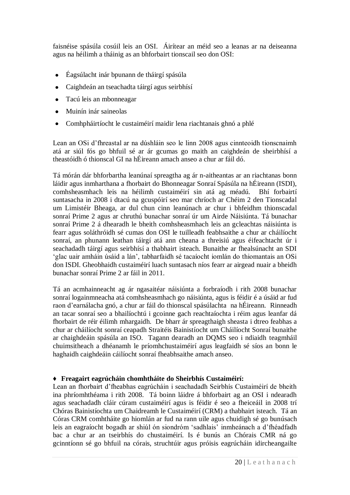faisnéise spásúla cosúil leis an OSI. Áirítear an méid seo a leanas ar na deiseanna agus na héilimh a tháinig as an bhforbairt tionscail seo don OSI:

- Éagsúlacht inár bpunann de tháirgí spásúla
- Caighdeán an tseachadta táirgí agus seirbhísí
- Tacú leis an mbonneagar
- Muinín inár saineolas
- Comhpháirtíocht le custaiméirí maidir lena riachtanais ghnó a phlé

Lean an OSi d"fhreastal ar na dúshláin seo le linn 2008 agus cinnteoidh tionscnaimh atá ar siúl fós go bhfuil sé ar ár gcumas go maith an caighdeán de sheirbhísí a theastóidh ó thionscal GI na hÉireann amach anseo a chur ar fáil dó.

Tá mórán dár bhforbartha leanúnaí spreagtha ag ár n-aitheantas ar an riachtanas bonn láidir agus inmharthana a fhorbairt do Bhonneagar Sonraí Spásúla na hÉireann (ISDI), comhsheasmhach leis na héilimh custaiméirí sin atá ag méadú. Bhí forbairtí suntasacha in 2008 i dtacú na gcuspóirí seo mar chríoch ar Chéim 2 den Tionscadal um Limistéir Bheaga, ar dul chun cinn leanúnach ar chur i bhfeidhm thionscadal sonraí Prime 2 agus ar chruthú bunachar sonraí úr um Airde Náisiúnta. Tá bunachar sonraí Prime 2 á dhearadh le bheith comhsheasmhach leis an gcleachtas náisiúnta is fearr agus soláthróidh sé cumas don OSI le tuilleadh feabhsaithe a chur ar cháilíocht sonraí, an phunann leathan táirgí atá ann cheana a threisiú agus éifeachtacht úr i seachadadh táirgí agus seirbhísí a thabhairt isteach. Bunaithe ar fhealsúnacht an SDI "glac uair amháin úsáid a lán", tabharfaidh sé tacaíocht iomlán do thiomantais an OSi don ISDI. Gheobhaidh custaiméirí luach suntasach níos fearr ar airgead nuair a bheidh bunachar sonraí Prime 2 ar fáil in 2011.

Tá an acmhainneacht ag ár ngasaitéar náisiúnta a forbraíodh i rith 2008 bunachar sonraí logainmneacha atá comhsheasmhach go náisiúnta, agus is féidir é a úsáid ar fud raon d"earnálacha gnó, a chur ar fáil do thionscal spásúlachta na hÉireann. Rinneadh an tacar sonraí seo a bhailíochtú i gcoinne gach reachtaíochta i réim agus leanfar dá fhorbairt de réir éilimh mhargaidh. De bharr ár spreagthaigh sheasta i dtreo feabhas a chur ar cháilíocht sonraí ceapadh Straitéis Bainistíocht um Cháilíocht Sonraí bunaithe ar chaighdeáin spásúla an ISO. Tagann dearadh an DQMS seo i ndiaidh teagmháil chuimsitheach a dhéanamh le príomhchustaiméirí agus leagfaidh sé síos an bonn le haghaidh caighdeáin cáilíocht sonraí fheabhsaithe amach anseo.

# ♦ **Freagairt eagrúcháin chomhtháite do Sheirbhís Custaiméirí:**

Lean an fhorbairt d"fheabhas eagrúcháin i seachadadh Seirbhís Custaiméirí de bheith ina phríomhthéama i rith 2008. Tá boinn láidre á bhforbairt ag an OSI i ndearadh agus seachadadh cláir cúram custaiméirí agus is féidir é seo a fheiceáil in 2008 trí Chóras Bainistíochta um Chaidreamh le Custaiméirí (CRM) a thabhairt isteach. Tá an Córas CRM comhtháite go hiomlán ar fud na rann uile agus chuidigh sé go bunúsach leis an eagraíocht bogadh ar shiúl ón siondróm "sadhlais" inmheánach a d"fhéadfadh bac a chur ar an tseirbhís do chustaiméirí. Is é bunús an Chórais CMR ná go gcinntíonn sé go bhfuil na córais, struchtúir agus próisis eagrúcháin idircheangailte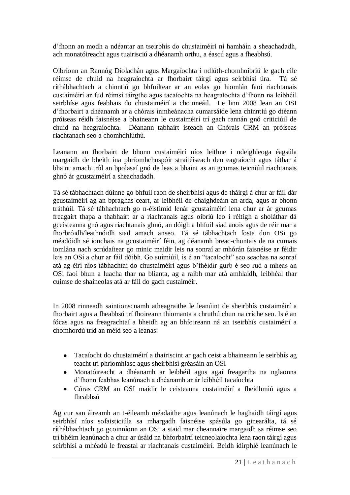d"fhonn an modh a ndéantar an tseirbhís do chustaiméirí ní hamháin a sheachadadh, ach monatóireacht agus tuairisciú a dhéanamh orthu, a éascú agus a fheabhsú.

Oibríonn an Rannóg Díolachán agus Margaíochta i ndlúth-chomhoibriú le gach eile réimse de chuid na heagraíochta ar fhorbairt táirgí agus seirbhísí úra. Tá sé ríthábhachtach a chinntiú go bhfuiltear ar an eolas go hiomlán faoi riachtanais custaiméirí ar fud réimsí táirgthe agus tacaíochta na heagraíochta d"fhonn na leibhéil seirbhíse agus feabhais do chustaiméirí a choinneáil. Le linn 2008 lean an OSI d"fhorbairt a dhéanamh ar a chórais inmheánacha cumarsáide lena chinntiú go dtéann próiseas réidh faisnéise a bhaineann le custaiméirí trí gach rannán gnó criticiúil de chuid na heagraíochta. Déanann tabhairt isteach an Chórais CRM an próiseas riachtanach seo a chomhdhlúthú.

Leanann an fhorbairt de bhonn custaiméirí níos leithne i ndeighleoga éagsúla margaidh de bheith ina phríomhchuspóir straitéiseach den eagraíocht agus táthar á bhaint amach tríd an bpolasaí gnó de leas a bhaint as an gcumas teicniúil riachtanais ghnó ár gcustaiméirí a sheachadadh.

Tá sé tábhachtach dúinne go bhfuil raon de sheirbhísí agus de tháirgí á chur ar fáil dár gcustaiméirí ag an bpraghas ceart, ar leibhéil de chaighdeáin an-arda, agus ar bhonn tráthúil. Tá sé tábhachtach go n-éistimid lenár gcustaiméirí lena chur ar ár gcumas freagairt thapa a thabhairt ar a riachtanais agus oibriú leo i réitigh a sholáthar dá gceisteanna gnó agus riachtanais ghnó, an dóigh a bhfuil siad anois agus de réir mar a fhorbróidh/leathnóidh siad amach anseo. Tá sé tábhachtach fosta don OSi go méadóidh sé ionchais na gcustaiméirí féin, ag déanamh breac-chuntais de na cumais iomlána nach scrúdaítear go minic maidir leis na sonraí ar mhórán faisnéise ar féidir leis an OSi a chur ar fáil dóibh. Go suimiúil, is é an "tacaíocht" seo seachas na sonraí atá ag éirí níos tábhachtaí do chustaiméirí agus b"fhéidir gurb é seo rud a mheas an OSi faoi bhun a luacha thar na blianta, ag a raibh mar atá amhlaidh, leibhéal thar cuimse de shaineolas atá ar fáil do gach custaiméir.

In 2008 rinneadh saintionscnamh atheagraithe le leanúint de sheirbhís custaiméirí a fhorbairt agus a fheabhsú trí fhoireann thiomanta a chruthú chun na críche seo. Is é an fócas agus na freagrachtaí a bheidh ag an bhfoireann ná an tseirbhís custaiméirí a chomhordú tríd an méid seo a leanas:

- Tacaíocht do chustaiméirí a thairiscint ar gach ceist a bhaineann le seirbhís ag teacht trí phríomhlasc agus sheirbhísí gréasáin an OSI
- $\bullet$ Monatóireacht a dhéanamh ar leibhéil agus agaí freagartha na nglaonna d"fhonn feabhas leanúnach a dhéanamh ar ár leibhéil tacaíochta
- Córas CRM an OSI maidir le ceisteanna custaiméirí a fheidhmiú agus a fheabhsú

Ag cur san áireamh an t-éileamh méadaithe agus leanúnach le haghaidh táirgí agus seirbhísí níos sofaisticiúla sa mhargadh faisnéise spásúla go ginearálta, tá sé ríthábhachtach go gcoinníonn an OSi a staid mar cheannaire margaidh sa réimse seo trí bhéim leanúnach a chur ar úsáid na bhforbairtí teicneolaíochta lena raon táirgí agus seirbhísí a mhéadú le freastal ar riachtanais custaiméirí. Beidh idirphlé leanúnach le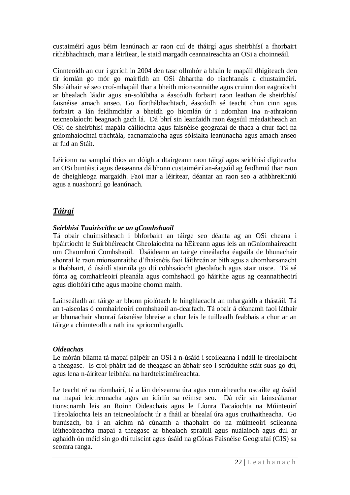custaiméirí agus béim leanúnach ar raon cuí de tháirgí agus sheirbhísí a fhorbairt ríthábhachtach, mar a léirítear, le staid margadh ceannaireachta an OSi a choinneáil.

Cinnteoidh an cur i gcrích in 2004 den tasc ollmhór a bhain le mapáil dhigiteach den tír iomlán go mór go mairfidh an OSi ábhartha do riachtanais a chustaiméirí. Sholáthair sé seo croí-mhapáil thar a bheith mionsonraithe agus cruinn don eagraíocht ar bhealach láidir agus an-solúbtha a éascóidh forbairt raon leathan de sheirbhísí faisnéise amach anseo. Go fíorthábhachtach, éascóidh sé teacht chun cinn agus forbairt a lán feidhmchlár a bheidh go hiomlán úr i ndomhan ina n-athraíonn teicneolaíocht beagnach gach lá. Dá bhrí sin leanfaidh raon éagsúil méadaitheach an OSi de sheirbhísí mapála cáilíochta agus faisnéise geografaí de thaca a chur faoi na gníomhaíochtaí tráchtála, eacnamaíocha agus sóisialta leanúnacha agus amach anseo ar fud an Stáit.

Léiríonn na samplaí thíos an dóigh a dtairgeann raon táirgí agus seirbhísí digiteacha an OSi buntáistí agus deiseanna dá bhonn custaiméirí an-éagsúil ag feidhmiú thar raon de dheighleoga margaidh. Faoi mar a léirítear, déantar an raon seo a athbhreithniú agus a nuashonrú go leanúnach.

# *Táirgí*

# *Seirbhísí Tuairiscithe ar an gComhshaoil*

Tá obair chuimsitheach i bhforbairt an táirge seo déanta ag an OSi cheana i bpáirtíocht le Suirbhéireacht Gheolaíochta na hÉireann agus leis an nGníomhaireacht um Chaomhnú Comhshaoil. Úsáideann an tairge cineálacha éagsúla de bhunachair shonraí le raon mionsonraithe d"fhaisnéis faoi láithreán ar bith agus a chomharsanacht a thabhairt, ó úsáidí stairiúla go dtí cobhsaíocht gheolaíoch agus stair uisce. Tá sé fónta ag comhairleoirí pleanála agus comhshaoil go háirithe agus ag ceannaitheoirí agus díoltóirí tithe agus maoine chomh maith.

Lainseáladh an táirge ar bhonn píolótach le hinghlacacht an mhargaidh a thástáil. Tá an t-aiseolas ó comhairleoirí comhshaoil an-dearfach. Tá obair á déanamh faoi láthair ar bhunachair shonraí faisnéise bhreise a chur leis le tuilleadh feabhais a chur ar an táirge a chinnteodh a rath ina spriocmhargadh.

# *Oideachas*

Le mórán blianta tá mapaí páipéir an OSi á n-úsáid i scoileanna i ndáil le tíreolaíocht a theagasc. Is croí-pháirt iad de theagasc an ábhair seo i scrúduithe stáit suas go dtí, agus lena n-áirítear leibhéal na hardteistiméireachta.

Le teacht ré na ríomhairí, tá a lán deiseanna úra agus corraitheacha oscailte ag úsáid na mapaí leictreonacha agus an idirlín sa réimse seo. Dá réir sin lainseálamar tionscnamh leis an Roinn Oideachais agus le Líonra Tacaíochta na Múinteoirí Tíreolaíochta leis an teicneolaíocht úr a fháil ar bhealaí úra agus cruthaitheacha. Go bunúsach, ba í an aidhm ná cúnamh a thabhairt do na múinteoirí scileanna léitheoireachta mapaí a theagasc ar bhealach spraíúil agus nuálaíoch agus dul ar aghaidh ón méid sin go dtí tuiscint agus úsáid na gCóras Faisnéise Geografaí (GIS) sa seomra ranga.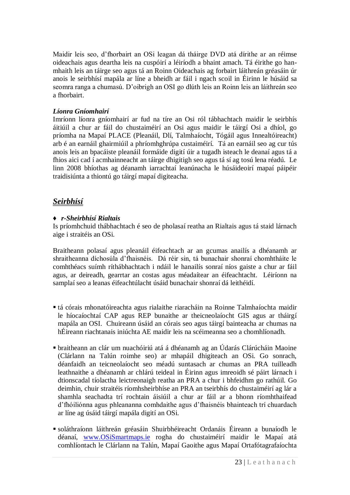Maidir leis seo, d"fhorbairt an OSi leagan dá tháirge DVD atá dírithe ar an réimse oideachais agus deartha leis na cuspóirí a léiríodh a bhaint amach. Tá éirithe go hanmhaith leis an táirge seo agus tá an Roinn Oideachais ag forbairt láithreán gréasáin úr anois le seirbhísí mapála ar líne a bheidh ar fáil i ngach scoil in Éirinn le húsáid sa seomra ranga a chumasú. D"oibrigh an OSI go dlúth leis an Roinn leis an láithreán seo a fhorbairt.

# *Líonra Gníomhairí*

Imríonn líonra gníomhairí ar fud na tíre an Osi ról tábhachtach maidir le seirbhís áitiúil a chur ar fáil do chustaiméirí an Osi agus maidir le táirgí Osi a dhíol, go príomha na Mapaí PLACE (Pleanáil, Dlí, Talmhaíocht, Tógáil agus Innealtóireacht) arb é an earnáil ghairmiúil a phríomhghrúpa custaiméirí. Tá an earnáil seo ag cur tús anois leis an bpacáiste pleanáil formáide digití úir a tugadh isteach le deanaí agus tá a fhios aici cad í acmhainneacht an táirge dhigitigh seo agus tá sí ag tosú lena réadú. Le linn 2008 bhíothas ag déanamh iarrachtaí leanúnacha le húsáideoirí mapaí páipéir traidisiúnta a thiontú go táirgí mapaí digiteacha.

# *Seirbhísí*

# ♦ *r-Sheirbhísí Rialtais*

Is príomhchuid thábhachtach é seo de pholasaí reatha an Rialtais agus tá staid lárnach aige i straitéis an OSi.

Braitheann polasaí agus pleanáil éifeachtach ar an gcumas anailís a dhéanamh ar shraitheanna díchosúla d"fhaisnéis. Dá réir sin, tá bunachair shonraí chomhtháite le comhthéacs suímh ríthábhachtach i ndáil le hanailís sonraí níos gaiste a chur ar fáil agus, ar deireadh, gearrtar an costas agus méadaítear an éifeachtacht. Léiríonn na samplaí seo a leanas éifeachtúlacht úsáid bunachair shonraí dá leithéidí.

- tá córais mhonatóireachta agus rialaithe riaracháin na Roinne Talmhaíochta maidir le híocaíochtaí CAP agus REP bunaithe ar theicneolaíocht GIS agus ar tháirgí mapála an OSI. Chuireann úsáid an córais seo agus táirgí bainteacha ar chumas na hÉireann riachtanais iniúchta AE maidir leis na scéimeanna seo a chomhlíonadh.
- braitheann an clár um nuachóiriú atá á dhéanamh ag an Údarás Clárúcháin Maoine (Clárlann na Talún roimhe seo) ar mhapáil dhigiteach an OSi. Go sonrach, déanfaidh an teicneolaíocht seo méadú suntasach ar chumas an PRA tuilleadh leathnaithe a dhéanamh ar chlárú teideal in Éirinn agus imreoidh sé páirt lárnach i dtionscadal tíolactha leictreonaigh reatha an PRA a chur i bhfeidhm go rathúil. Go deimhin, chuir straitéis ríomhsheirbhíse an PRA an tseirbhís do chustaiméirí ag lár a shamhla seachadta trí rochtain áisiúil a chur ar fáil ar a bhonn ríomhthaifead d"fhóiliónna agus phleananna comhdaithe agus d"fhaisnéis bhainteach trí chuardach ar líne ag úsáid táirgí mapála digití an OSi.
- soláthraíonn láithreán gréasáin Shuirbhéireacht Ordanáis Éireann a bunaíodh le déanaí, [www.OSiSmartmaps.ie](http://www.osismartmaps.ie/) rogha do chustaiméirí maidir le Mapaí atá comhlíontach le Clárlann na Talún, Mapaí Gaoithe agus Mapaí Ortafótagrafaíochta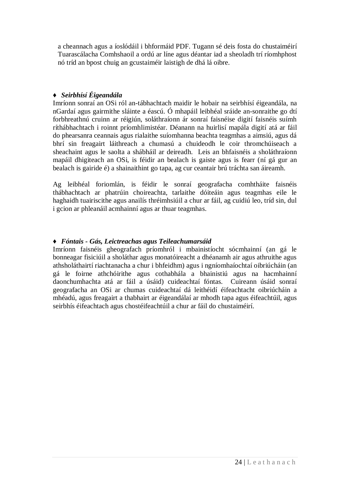a cheannach agus a íoslódáil i bhformáid PDF. Tugann sé deis fosta do chustaiméirí Tuarascálacha Comhshaoil a ordú ar líne agus déantar iad a sheoladh trí ríomhphost nó tríd an bpost chuig an gcustaiméir laistigh de dhá lá oibre.

# ♦ *Seirbhísí Éigeandála*

Imríonn sonraí an OSi ról an-tábhachtach maidir le hobair na seirbhísí éigeandála, na nGardaí agus gairmithe sláinte a éascú. Ó mhapáil leibhéal sráide an-sonraithe go dtí forbhreathnú cruinn ar réigiún, soláthraíonn ár sonraí faisnéise digití faisnéis suímh ríthábhachtach i roinnt príomhlimistéar. Déanann na huirlisí mapála digití atá ar fáil do phearsanra ceannais agus rialaithe suíomhanna beachta teagmhas a aimsiú, agus dá bhrí sin freagairt láithreach a chumasú a chuideodh le coir thromchúiseach a sheachaint agus le saolta a shábháil ar deireadh. Leis an bhfaisnéis a sholáthraíonn mapáil dhigiteach an OSi, is féidir an bealach is gaiste agus is fearr (ní gá gur an bealach is gairide é) a shainaithint go tapa, ag cur ceantair brú tráchta san áireamh.

Ag leibhéal foriomlán, is féidir le sonraí geografacha comhtháite faisnéis thábhachtach ar phatrúin choireachta, tarlaithe dóiteáin agus teagmhas eile le haghaidh tuairiscithe agus anailís thréimhsiúil a chur ar fáil, ag cuidiú leo, tríd sin, dul i gcion ar phleanáil acmhainní agus ar thuar teagmhas.

# ♦ *Fóntais - Gás, Leictreachas agus Teileachumarsáid*

Imríonn faisnéis gheografach príomhról i mbainistíocht sócmhainní (an gá le bonneagar fisiciúil a sholáthar agus monatóireacht a dhéanamh air agus athruithe agus athsholáthairtí riachtanacha a chur i bhfeidhm) agus i ngníomhaíochtaí oibriúcháin (an gá le foirne athchóirithe agus cothabhála a bhainistiú agus na hacmhainní daonchumhachta atá ar fáil a úsáid) cuideachtaí fóntas. Cuireann úsáid sonraí geografacha an OSi ar chumas cuideachtaí dá leithéidí éifeachtacht oibriúcháin a mhéadú, agus freagairt a thabhairt ar éigeandálaí ar mhodh tapa agus éifeachtúil, agus seirbhís éifeachtach agus chostéifeachtúil a chur ar fáil do chustaiméirí.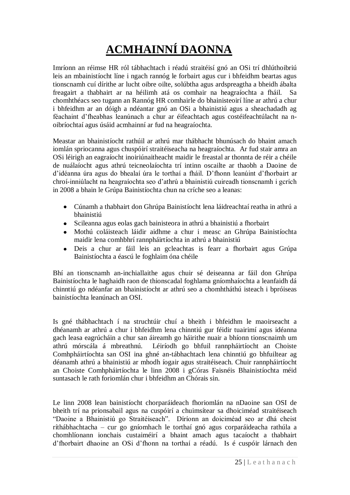# **ACMHAINNÍ DAONNA**

Imríonn an réimse HR ról tábhachtach i réadú straitéisí gnó an OSi trí dhlúthoibriú leis an mbainistíocht líne i ngach rannóg le forbairt agus cur i bhfeidhm beartas agus tionscnamh cuí dírithe ar lucht oibre oilte, solúbtha agus ardspreagtha a bheidh ábalta freagairt a thabhairt ar na héilimh atá os comhair na heagraíochta a fháil. Sa chomhthéacs seo tugann an Rannóg HR comhairle do bhainisteoirí líne ar athrú a chur i bhfeidhm ar an dóigh a ndéantar gnó an OSi a bhainistiú agus a sheachadadh ag féachaint d"fheabhas leanúnach a chur ar éifeachtach agus costéifeachtúlacht na noibríochtaí agus úsáid acmhainní ar fud na heagraíochta.

Meastar an bhainistíocht rathúil ar athrú mar thábhacht bhunúsach do bhaint amach iomlán spriocanna agus chuspóirí straitéiseacha na heagraíochta. Ar fud stair amra an OSi léirigh an eagraíocht inoiriúnaitheacht maidir le freastal ar thonnta de réir a chéile de nuálaíocht agus athrú teicneolaíochta trí intinn oscailte ar thaobh a Daoine de d"idéanna úra agus do bhealaí úra le torthaí a fháil. D"fhonn leanúint d"fhorbairt ar chroí-inniúlacht na heagraíochta seo d"athrú a bhainistiú cuireadh tionscnamh i gcrích in 2008 a bhain le Grúpa Bainistíochta chun na críche seo a leanas:

- Cúnamh a thabhairt don Ghrúpa Bainistíocht lena láidreachtaí reatha in athrú a bhainistiú
- Scileanna agus eolas gach bainisteora in athrú a bhainistiú a fhorbairt  $\bullet$
- Mothú coláisteach láidir aidhme a chur i measc an Ghrúpa Bainistíochta  $\bullet$ maidir lena comhbhrí rannpháirtíochta in athrú a bhainistiú
- Deis a chur ar fáil leis an gcleachtas is fearr a fhorbairt agus Grúpa Bainistíochta a éascú le foghlaim óna chéile

Bhí an tionscnamh an-inchiallaithe agus chuir sé deiseanna ar fáil don Ghrúpa Bainistíochta le haghaidh raon de thionscadal foghlama gníomhaíochta a leanfaidh dá chinntiú go ndéanfar an bhainistíocht ar athrú seo a chomhtháthú isteach i bpróiseas bainistíochta leanúnach an OSI.

Is gné thábhachtach í na struchtúir chuí a bheith i bhfeidhm le maoirseacht a dhéanamh ar athrú a chur i bhfeidhm lena chinntiú gur féidir tuairimí agus idéanna gach leasa eagrúcháin a chur san áireamh go háirithe nuair a bhíonn tionscnaimh um athrú mórscála á mbreathnú. Léiríodh go bhfuil rannpháirtíocht an Choiste Comhpháirtíochta san OSI ina ghné an-tábhachtach lena chinntiú go bhfuiltear ag déanamh athrú a bhainistiú ar mhodh íogair agus straitéiseach. Chuir rannpháirtíocht an Choiste Comhpháirtíochta le linn 2008 i gCóras Faisnéis Bhainistíochta méid suntasach le rath foriomlán chur i bhfeidhm an Chórais sin.

Le linn 2008 lean bainistíocht chorparáideach fhoriomlán na nDaoine san OSI de bheith trí na prionsabail agus na cuspóirí a chuimsítear sa dhoiciméad straitéiseach "Daoine a Bhainistiú go Straitéiseach". Díríonn an doiciméad seo ar dhá cheist ríthábhachtacha – cur go gníomhach le torthaí gnó agus corparáideacha rathúla a chomhlíonann ionchais custaiméirí a bhaint amach agus tacaíocht a thabhairt d"fhorbairt dhaoine an OSi d"fhonn na torthaí a réadú. Is é cuspóir lárnach den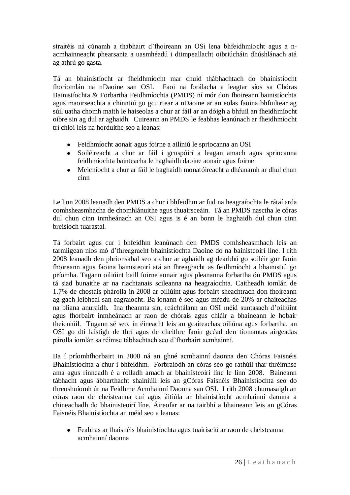straitéis ná cúnamh a thabhairt d"fhoireann an OSi lena bhfeidhmíocht agus a nacmhainneacht phearsanta a uasmhéadú i dtimpeallacht oibriúcháin dhúshlánach atá ag athrú go gasta.

Tá an bhainistíocht ar fheidhmíocht mar chuid thábhachtach do bhainistíocht fhoriomlán na nDaoine san OSI. Faoi na forálacha a leagtar síos sa Chóras Bainistíochta & Forbartha Feidhmíochta (PMDS) ní mór don fhoireann bainistíochta agus maoirseachta a chinntiú go gcuirtear a nDaoine ar an eolas faoina bhfuiltear ag súil uatha chomh maith le haiseolas a chur ar fáil ar an dóigh a bhfuil an fheidhmíocht oibre sin ag dul ar aghaidh. Cuireann an PMDS le feabhas leanúnach ar fheidhmíocht trí chloí leis na horduithe seo a leanas:

- Feidhmíocht aonair agus foirne a ailíniú le spriocanna an OSI
- Soiléireacht a chur ar fáil i gcuspóirí a leagan amach agus spriocanna feidhmíochta bainteacha le haghaidh daoine aonair agus foirne
- Meicníocht a chur ar fáil le haghaidh monatóireacht a dhéanamh ar dhul chun cinn

Le linn 2008 leanadh den PMDS a chur i bhfeidhm ar fud na heagraíochta le rátaí arda comhsheasmhacha de chomhlánuithe agus thuairsceáin. Tá an PMDS nasctha le córas dul chun cinn inmheánach an OSI agus is é an bonn le haghaidh dul chun cinn breisíoch tuarastal.

Tá forbairt agus cur i bhfeidhm leanúnach den PMDS comhsheasmhach leis an tarmligean níos mó d"fhreagracht bhainistíochta Daoine do na bainisteoirí líne. I rith 2008 leanadh den phrionsabal seo a chur ar aghaidh ag dearbhú go soiléir gur faoin fhoireann agus faoina bainisteoirí atá an fhreagracht as feidhmíocht a bhainistiú go príomha. Tagann oiliúint baill foirne aonair agus pleananna forbartha ón PMDS agus tá siad bunaithe ar na riachtanais scileanna na heagraíochta. Caitheadh iomlán de 1.7% de chostais phárolla in 2008 ar oiliúint agus forbairt sheachtrach don fhoireann ag gach leibhéal san eagraíocht. Ba ionann é seo agus méadú de 20% ar chaiteachas na bliana anuraidh. Ina theannta sin, reáchtálann an OSI méid suntasach d"oiliúint agus fhorbairt inmheánach ar raon de chórais agus chláir a bhaineann le hobair theicniúil. Tugann sé seo, in éineacht leis an gcaiteachas oiliúna agus forbartha, an OSI go dtí laistigh de thrí agus de cheithre faoin gcéad den tiomantas airgeadas párolla iomlán sa réimse tábhachtach seo d"fhorbairt acmhainní.

Ba í príomhfhorbairt in 2008 ná an ghné acmhainní daonna den Chóras Faisnéis Bhainistíochta a chur i bhfeidhm. Forbraíodh an córas seo go rathúil thar thréimhse ama agus rinneadh é a rolladh amach ar bhainisteoirí líne le linn 2008. Baineann tábhacht agus ábharthacht shainiúil leis an gCóras Faisnéis Bhainistíochta seo do threoshuíomh úr na Feidhme Acmhainní Daonna san OSI. I rith 2008 chumasaigh an córas raon de cheisteanna cuí agus áitiúla ar bhainistíocht acmhainní daonna a chineachadh do bhainisteoirí líne. Áireofar ar na tairbhí a bhaineann leis an gCóras Faisnéis Bhainistíochta an méid seo a leanas:

 $\bullet$ Feabhas ar fhaisnéis bhainistíochta agus tuairisciú ar raon de cheisteanna acmhainní daonna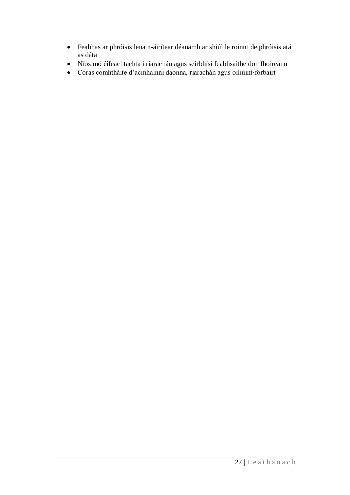- Feabhas ar phróisis lena n-áirítear déanamh ar shiúl le roinnt de phróisis atá  $\bullet$ as dáta
- Níos mó éifeachtachta i riarachán agus seirbhísí feabhsaithe don fhoireann
- Córas comhtháite d"acmhainní daonna, riarachán agus oiliúint/forbairt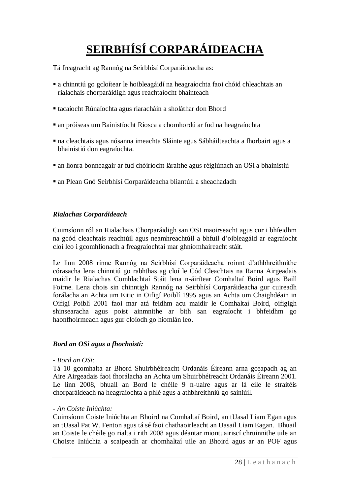# **SEIRBHÍSÍ CORPARÁIDEACHA**

Tá freagracht ag Rannóg na Seirbhísí Corparáideacha as:

- a chinntiú go gcloítear le hoibleagáidí na heagraíochta faoi chóid chleachtais an rialachais chorparáidigh agus reachtaíocht bhainteach
- tacaíocht Rúnaíochta agus riaracháin a sholáthar don Bhord
- an próiseas um Bainistíocht Riosca a chomhordú ar fud na heagraíochta
- na cleachtais agus nósanna imeachta Sláinte agus Sábháilteachta a fhorbairt agus a bhainistiú don eagraíochta.
- an líonra bonneagair ar fud chóiríocht láraithe agus réigiúnach an OSi a bhainistiú
- an Plean Gnó Seirbhísí Corparáideacha bliantúil a sheachadadh

# *Rialachas Corparáideach*

Cuimsíonn ról an Rialachais Chorparáidigh san OSI maoirseacht agus cur i bhfeidhm na gcód cleachtais reachtúil agus neamhreachtúil a bhfuil d"oibleagáid ar eagraíocht cloí leo i gcomhlíonadh a freagraíochtaí mar ghníomhaireacht stáit.

Le linn 2008 rinne Rannóg na Seirbhísí Corparáideacha roinnt d"athbhreithnithe córasacha lena chinntiú go rabhthas ag cloí le Cód Cleachtais na Ranna Airgeadais maidir le Rialachas Comhlachtaí Stáit lena n-áirítear Comhaltaí Boird agus Baill Foirne. Lena chois sin chinntigh Rannóg na Seirbhísí Corparáideacha gur cuireadh forálacha an Achta um Eitic in Oifigí Poiblí 1995 agus an Achta um Chaighdéain in Oifigí Poiblí 2001 faoi mar atá feidhm acu maidir le Comhaltaí Boird, oifigigh shinsearacha agus poist ainmnithe ar bith san eagraíocht i bhfeidhm go haonfhoirmeach agus gur cloíodh go hiomlán leo.

# *Bord an OSi agus a fhochoistí:*

# *- Bord an OSi:*

Tá 10 gcomhalta ar Bhord Shuirbhéireacht Ordanáis Éireann arna gceapadh ag an Aire Airgeadais faoi fhorálacha an Achta um Shuirbhéireacht Ordanáis Éireann 2001. Le linn 2008, bhuail an Bord le chéile 9 n-uaire agus ar lá eile le straitéis chorparáideach na heagraíochta a phlé agus a athbhreithniú go sainiúil.

# *- An Coiste Iniúchta:*

Cuimsíonn Coiste Iniúchta an Bhoird na Comhaltaí Boird, an tUasal Liam Egan agus an tUasal Pat W. Fenton agus tá sé faoi chathaoirleacht an Uasail Liam Eagan. Bhuail an Coiste le chéile go rialta i rith 2008 agus déantar miontuairiscí chruinnithe uile an Choiste Iniúchta a scaipeadh ar chomhaltaí uile an Bhoird agus ar an POF agus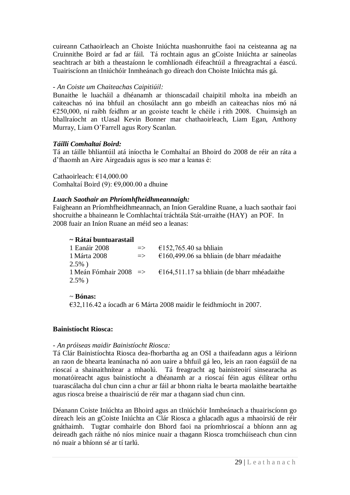cuireann Cathaoirleach an Choiste Iniúchta nuashonruithe faoi na ceisteanna ag na Cruinnithe Boird ar fad ar fáil. Tá rochtain agus an gCoiste Iniúchta ar saineolas seachtrach ar bith a theastaíonn le comhlíonadh éifeachtúil a fhreagrachtaí a éascú. Tuairiscíonn an tIniúchóir Inmheánach go díreach don Choiste Iniúchta más gá.

# *- An Coiste um Chaiteachas Caipitiúil:*

Bunaithe le luacháil a dhéanamh ar thionscadail chaipitil mholta ina mbeidh an caiteachas nó ina bhfuil an chosúlacht ann go mbeidh an caiteachas níos mó ná €250,000, ní raibh feidhm ar an gcoiste teacht le chéile i rith 2008. Chuimsigh an bhallraíocht an tUasal Kevin Bonner mar chathaoirleach, Liam Egan, Anthony Murray, Liam O"Farrell agus Rory Scanlan.

# *Táillí Comhaltaí Boird:*

Tá an táille bhliantúil atá iníoctha le Comhaltaí an Bhoird do 2008 de réir an ráta a d"fhaomh an Aire Airgeadais agus is seo mar a leanas é:

Cathaoirleach: €14,000.00 Comhaltaí Boird (9): €9,000.00 a dhuine

# *Luach Saothair an Phríomhfheidhmeannaigh:*

Faigheann an Príomhfheidhmeannach, an Iníon Geraldine Ruane, a luach saothair faoi shocruithe a bhaineann le Comhlachtaí tráchtála Stát-urraithe (HAY) an POF. In 2008 fuair an Iníon Ruane an méid seo a leanas:

# **~ Rátaí buntuarastail**

| 1 Eanáir 2008 | $\Rightarrow$ | €152,765.40 sa bhliain                                                                |
|---------------|---------------|---------------------------------------------------------------------------------------|
| 1 Márta 2008  | $\Rightarrow$ | $\epsilon$ 160,499.06 sa bhliain (de bharr méadaithe                                  |
| $2.5\%$ )     |               |                                                                                       |
|               |               | 1 Meán Fómhair 2008 $\Rightarrow$ $\theta$ 164,511.17 sa bhliain (de bharr mhéadaithe |
| $2.5\%$ )     |               |                                                                                       |
|               |               |                                                                                       |

### ~ **Bónas:**

€32,116.42 a íocadh ar 6 Márta 2008 maidir le feidhmíocht in 2007.

# **Bainistíocht Riosca:**

# *- An próiseas maidir Bainistíocht Riosca:*

Tá Clár Bainistíochta Riosca dea-fhorbartha ag an OSI a thaifeadann agus a léiríonn an raon de bhearta leanúnacha nó aon uaire a bhfuil gá leo, leis an raon éagsúil de na rioscaí a shainaithnítear a mhaolú. Tá freagracht ag bainisteoirí sinsearacha as monatóireacht agus bainistíocht a dhéanamh ar a rioscaí féin agus éilítear orthu tuarascálacha dul chun cinn a chur ar fáil ar bhonn rialta le bearta maolaithe beartaithe agus riosca breise a thuairisciú de réir mar a thagann siad chun cinn.

Déanann Coiste Iniúchta an Bhoird agus an tIniúchóir Inmheánach a thuairiscíonn go díreach leis an gCoiste Iniúchta an Clár Riosca a ghlacadh agus a mhaoirsiú de réir gnáthaimh. Tugtar comhairle don Bhord faoi na príomhrioscaí a bhíonn ann ag deireadh gach ráithe nó níos minice nuair a thagann Riosca tromchúiseach chun cinn nó nuair a bhíonn sé ar tí tarlú.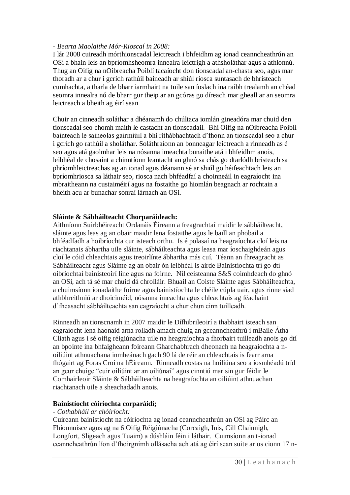### *- Bearta Maolaithe Mór-Rioscaí in 2008:*

I lár 2008 cuireadh mórthionscadal leictreach i bhfeidhm ag ionad ceanncheathrún an OSi a bhain leis an bpríomhsheomra innealra leictrigh a athsholáthar agus a athlonnú. Thug an Oifig na nOibreacha Poiblí tacaíocht don tionscadal an-chasta seo, agus mar thoradh ar a chur i gcrích rathúil baineadh ar shiúl riosca suntasach de bhristeach cumhachta, a tharla de bharr iarmhairt na tuile san íoslach ina raibh trealamh an chéad seomra innealra nó de bharr gur theip ar an gcóras go díreach mar gheall ar an seomra leictreach a bheith ag éirí sean

Chuir an cinneadh soláthar a dhéanamh do chúltaca iomlán gineadóra mar chuid den tionscadal seo chomh maith le castacht an tionscadail. Bhí Oifig na nOibreacha Poiblí bainteach le saineolas gairmiúil a bhí ríthábhachtach d"fhonn an tionscadal seo a chur i gcrích go rathúil a sholáthar. Soláthraíonn an bonneagar leictreach a rinneadh as é seo agus atá gaolmhar leis na nósanna imeachta bunaithe atá i bhfeidhm anois, leibhéal de chosaint a chinntíonn leantacht an ghnó sa chás go dtarlódh bristeach sa phríomhleictreachas ag an ionad agus déanann sé ar shiúl go héifeachtach leis an bpríomhriosca sa láthair seo, riosca nach bhféadfaí a choinneáil in eagraíocht ina mbraitheann na custaiméirí agus na fostaithe go hiomlán beagnach ar rochtain a bheith acu ar bunachar sonraí lárnach an OSi.

# **Sláinte & Sábháilteacht Chorparáideach:**

Aithníonn Suirbhéireacht Ordanáis Éireann a freagrachtaí maidir le sábháilteacht, sláinte agus leas ag an obair maidir lena fostaithe agus le baill an phobail a bhféadfadh a hoibríochta cur isteach orthu. Is é polasaí na heagraíochta cloí leis na riachtanais ábhartha uile sláinte, sábháilteachta agus leasa mar íoschaighdeán agus cloí le cóid chleachtais agus treoirlínte ábhartha más cuí. Téann an fhreagracht as Sábháilteacht agus Sláinte ag an obair ón leibhéal is airde Bainistíochta trí go dtí oibríochtaí bainisteoirí líne agus na foirne. Níl ceisteanna S&S coimhdeach do ghnó an OSi, ach tá sé mar chuid dá chroíláir. Bhuail an Coiste Sláinte agus Sábháilteachta, a chuimsíonn ionadaithe foirne agus bainistíochta le chéile cúpla uair, agus rinne siad athbhreithniú ar dhoiciméid, nósanna imeachta agus chleachtais ag féachaint d"fheasacht sábháilteachta san eagraíocht a chur chun cinn tuilleadh.

Rinneadh an tionscnamh in 2007 maidir le Dífhibrileoirí a thabhairt isteach san eagraíocht lena haonaid arna rolladh amach chuig an gceanncheathrú i mBaile Átha Cliath agus i sé oifig réigiúnacha uile na heagraíochta a fhorbairt tuilleadh anois go dtí an bpointe ina bhfaigheann foireann Gharchabhrach dheonach na heagraíochta a noiliúint athnuachana inmheánach gach 90 lá de réir an chleachtais is fearr arna fhógairt ag Foras Croí na hÉireann. Rinneadh costas na hoiliúna seo a íosmhéadú tríd an gcur chuige "cuir oiliúint ar an oiliúnaí" agus cinntiú mar sin gur féidir le Comhairleoir Sláinte & Sábháilteachta na heagraíochta an oiliúint athnuachan riachtanach uile a sheachadadh anois.

### **Bainistíocht cóiríochta corparáidí;**

### *- Cothabháil ar chóiríocht:*

Cuireann bainistíocht na cóiríochta ag ionad ceanncheathrún an OSi ag Páirc an Fhionnuisce agus ag na 6 Oifig Réigiúnacha (Corcaigh, Inis, Cill Chainnigh, Longfort, Sligeach agus Tuaim) a dúshláin féin i láthair. Cuimsíonn an t-ionad ceanncheathrún líon d"fhoirgnimh ollásacha ach atá ag éirí sean suite ar os cionn 17 n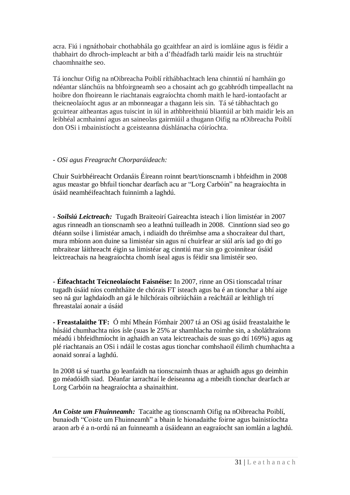acra. Fiú i ngnáthobair chothabhála go gcaithfear an aird is iomláine agus is féidir a thabhairt do dhroch-impleacht ar bith a d"fhéadfadh tarlú maidir leis na struchtúir chaomhnaithe seo.

Tá ionchur Oifig na nOibreacha Poiblí ríthábhachtach lena chinntiú ní hamháin go ndéantar slánchúis na bhfoirgneamh seo a chosaint ach go gcabhródh timpeallacht na hoibre don fhoireann le riachtanais eagraíochta chomh maith le hard-iontaofacht ar theicneolaíocht agus ar an mbonneagar a thagann leis sin. Tá sé tábhachtach go gcuirtear aitheantas agus tuiscint in iúl in athbhreithniú bliantúil ar bith maidir leis an leibhéal acmhainní agus an saineolas gairmiúil a thugann Oifig na nOibreacha Poiblí don OSi i mbainistíocht a gceisteanna dúshlánacha cóiríochta.

# *- OSi agus Freagracht Chorparáideach:*

Chuir Suirbhéireacht Ordanáis Éireann roinnt beart/tionscnamh i bhfeidhm in 2008 agus meastar go bhfuil tionchar dearfach acu ar "Lorg Carbóin" na heagraíochta in úsáid neamhéifeachtach fuinnimh a laghdú.

- *Soilsiú Leictreach:* Tugadh Braiteoirí Gaireachta isteach i líon limistéar in 2007 agus rinneadh an tionscnamh seo a leathnú tuilleadh in 2008. Cinntíonn siad seo go dtéann soilse i limistéar amach, i ndiaidh do thréimhse ama a shocraítear dul thart, mura mbíonn aon duine sa limistéar sin agus ní chuirfear ar siúl arís iad go dtí go mbraitear láithreacht éigin sa limistéar ag cinntiú mar sin go gcoinnítear úsáid leictreachais na heagraíochta chomh íseal agus is féidir sna limistéir seo.

- **Éifeachtacht Teicneolaíocht Faisnéise:** In 2007, rinne an OSi tionscadal trínar tugadh úsáid níos comhtháite de chórais FT isteach agus ba é an tionchar a bhí aige seo ná gur laghdaíodh an gá le hilchórais oibriúcháin a reáchtáil ar leithligh trí fhreastalaí aonair a úsáid

**- Freastalaithe TF:** Ó mhí Mheán Fómhair 2007 tá an OSi ag úsáid freastalaithe le húsáid chumhachta níos ísle (suas le 25% ar shamhlacha roimhe sin, a sholáthraíonn méadú i bhfeidhmíocht in aghaidh an vata leictreachais de suas go dtí 169%) agus ag plé riachtanais an OSi i ndáil le costas agus tionchar comhshaoil éilimh chumhachta a aonaid sonraí a laghdú.

In 2008 tá sé tuartha go leanfaidh na tionscnaimh thuas ar aghaidh agus go deimhin go méadóidh siad. Déanfar iarrachtaí le deiseanna ag a mbeidh tionchar dearfach ar Lorg Carbóin na heagraíochta a shainaithint.

*An Coiste um Fhuinneamh:* Tacaithe ag tionscnamh Oifig na nOibreacha Poiblí, bunaíodh "Coiste um Fhuinneamh" a bhain le hionadaithe foirne agus bainistíochta araon arb é a n-ordú ná an fuinneamh a úsáideann an eagraíocht san iomlán a laghdú.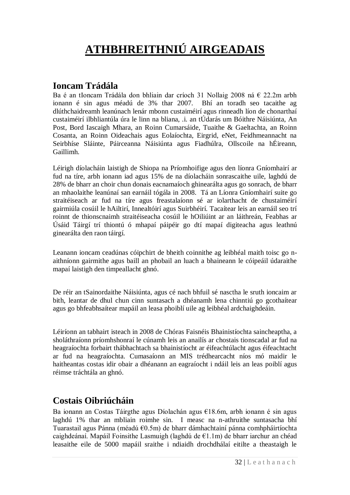# **ATHBHREITHNIÚ AIRGEADAIS**

# **Ioncam Trádála**

Ba é an tIoncam Trádála don bhliain dar críoch 31 Nollaig 2008 ná € 22.2m arbh ionann é sin agus méadú de 3% thar 2007. Bhí an toradh seo tacaithe ag dlúthchaidreamh leanúnach lenár mbonn custaiméirí agus rinneadh líon de chonarthaí custaiméirí ilbhliantúla úra le linn na bliana, .i. an tÚdarás um Bóithre Náisiúnta, An Post, Bord Iascaigh Mhara, an Roinn Cumarsáide, Tuaithe & Gaeltachta, an Roinn Cosanta, an Roinn Oideachais agus Eolaíochta, Eirgrid, eNet, Feidhmeannacht na Seirbhíse Sláinte, Páirceanna Náisiúnta agus Fiadhúlra, Ollscoile na hÉireann, Gaillimh.

Léirigh díolacháin laistigh de Shiopa na Príomhoifige agus den líonra Gníomhairí ar fud na tíre, arbh ionann iad agus 15% de na díolacháin sonrascaithe uile, laghdú de 28% de bharr an choir chun donais eacnamaíoch ghinearálta agus go sonrach, de bharr an mhaolaithe leanúnaí san earnáil tógála in 2008. Tá an Líonra Gníomhairí suite go straitéiseach ar fud na tíre agus freastalaíonn sé ar iolarthacht de chustaiméirí gairmiúla cosúil le hAiltirí, Innealtóirí agus Suirbhéirí. Tacaítear leis an earnáil seo trí roinnt de thionscnaimh straitéiseacha cosúil le hOiliúint ar an láithreán, Feabhas ar Úsáid Táirgí trí thiontú ó mhapaí páipéir go dtí mapaí digiteacha agus leathnú ginearálta den raon táirgí.

Leanann ioncam ceadúnas cóipchirt de bheith coinnithe ag leibhéal maith toisc go naithníonn gairmithe agus baill an phobail an luach a bhaineann le cóipeáil údaraithe mapaí laistigh den timpeallacht ghnó.

De réir an tSainordaithe Náisiúnta, agus cé nach bhfuil sé nasctha le sruth ioncaim ar bith, leantar de dhul chun cinn suntasach a dhéanamh lena chinntiú go gcothaítear agus go bhfeabhsaítear mapáil an leasa phoiblí uile ag leibhéal ardchaighdeáin.

Léiríonn an tabhairt isteach in 2008 de Chóras Faisnéis Bhainistíochta saincheaptha, a sholáthraíonn príomhshonraí le cúnamh leis an anailís ar chostais tionscadal ar fud na heagraíochta forbairt thábhachtach sa bhainistíocht ar éifeachtúlacht agus éifeachtacht ar fud na heagraíochta. Cumasaíonn an MIS trédhearcacht níos mó maidir le haitheantas costas idir obair a dhéanann an eagraíocht i ndáil leis an leas poiblí agus réimse tráchtála an ghnó.

# **Costais Oibriúcháin**

Ba ionann an Costas Táirgthe agus Díolachán agus €18.6m, arbh ionann é sin agus laghdú 1% thar an mbliain roimhe sin. I measc na n-athruithe suntasacha bhí Tuarastail agus Pánna (méadú €0.5m) de bharr dámhachtainí pánna comhpháirtíochta caighdeánaí. Mapáil Foinsithe Lasmuigh (laghdú de €1.1m) de bharr iarchur an chéad leasaithe eile de 5000 mapáil sraithe i ndiaidh drochdhálaí eitilte a theastaigh le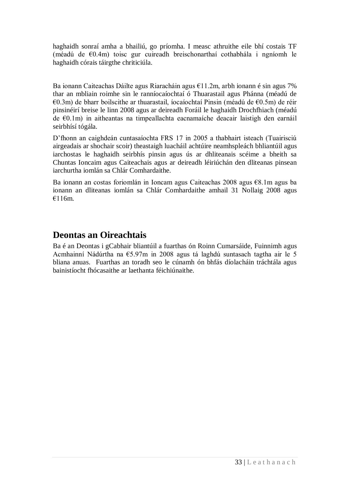haghaidh sonraí amha a bhailiú, go príomha. I measc athruithe eile bhí costais TF (méadú de €0.4m) toisc gur cuireadh breischonarthaí cothabhála i ngníomh le haghaidh córais táirgthe chriticiúla.

Ba ionann Caiteachas Dáilte agus Riaracháin agus €11.2m, arbh ionann é sin agus 7% thar an mbliain roimhe sin le ranníocaíochtaí ó Thuarastail agus Phánna (méadú de €0.3m) de bharr boilscithe ar thuarastail, íocaíochtaí Pinsin (méadú de €0.5m) de réir pinsinéirí breise le linn 2008 agus ar deireadh Foráil le haghaidh Drochfhiach (méadú de €0.1m) in aitheantas na timpeallachta eacnamaíche deacair laistigh den earnáil seirbhísí tógála.

D"fhonn an caighdeán cuntasaíochta FRS 17 in 2005 a thabhairt isteach (Tuairisciú airgeadais ar shochair scoir) theastaigh luacháil achtúire neamhspleách bhliantúil agus iarchostas le haghaidh seirbhís pinsin agus ús ar dhliteanais scéime a bheith sa Chuntas Ioncaim agus Caiteachais agus ar deireadh léiriúchán den dliteanas pinsean iarchurtha iomlán sa Chlár Comhardaithe.

Ba ionann an costas foriomlán in Ioncam agus Caiteachas 2008 agus €8.1m agus ba ionann an dliteanas iomlán sa Chlár Comhardaithe amhail 31 Nollaig 2008 agus €116m.

# **Deontas an Oireachtais**

Ba é an Deontas i gCabhair bliantúil a fuarthas ón Roinn Cumarsáide, Fuinnimh agus Acmhainní Nádúrtha na €5.97m in 2008 agus tá laghdú suntasach tagtha air le 5 bliana anuas. Fuarthas an toradh seo le cúnamh ón bhfás díolacháin tráchtála agus bainistíocht fhócasaithe ar laethanta féichiúnaithe.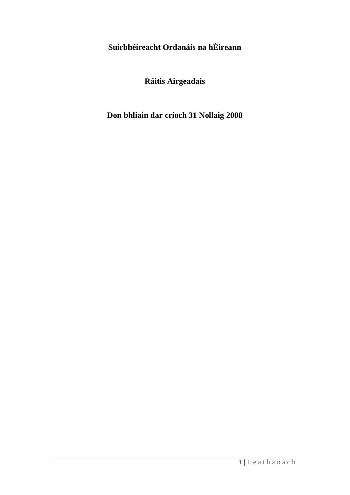**Suirbhéireacht Ordanáis na hÉireann**

**Ráitis Airgeadais**

**Don bhliain dar críoch 31 Nollaig 2008**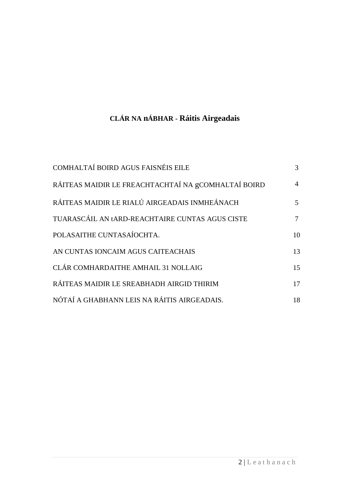# **CLÁR NA nÁBHAR - Ráitis Airgeadais**

| COMHALTAÍ BOIRD AGUS FAISNÉIS EILE                  | 3 <sup>1</sup> |
|-----------------------------------------------------|----------------|
| RÁITEAS MAIDIR LE FREACHTACHTAÍ NA gCOMHALTAÍ BOIRD | $\overline{4}$ |
| RÁITEAS MAIDIR LE RIALÚ AIRGEADAIS INMHEÁNACH       | 5              |
| TUARASCÁIL AN tARD-REACHTAIRE CUNTAS AGUS CISTE     | $\tau$         |
| POLASAITHE CUNTASAÍOCHTA.                           | 10             |
| AN CUNTAS IONCAIM AGUS CAITEACHAIS                  | 13             |
| CLÁR COMHARDAITHE AMHAIL 31 NOLLAIG                 | 15             |
| RÁITEAS MAIDIR LE SREABHADH AIRGID THIRIM           | 17             |
| NÓTAÍ A GHABHANN LEIS NA RÁITIS AIRGEADAIS.         | 18             |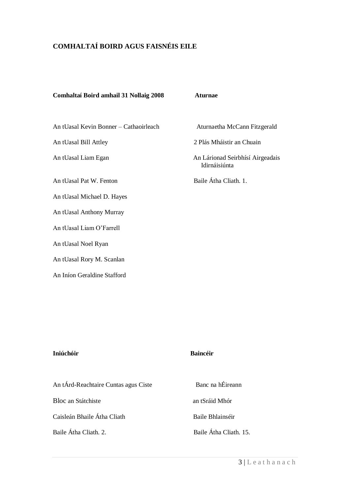# **COMHALTAÍ BOIRD AGUS FAISNÉIS EILE**

#### **Comhaltaí Boird amhail 31 Nollaig 2008 Aturnae**

An tUasal Kevin Bonner – Cathaoirleach Aturnaetha McCann Fitzgerald

An tUasal Pat W. Fenton Baile Átha Cliath. 1.

An tUasal Michael D. Hayes

An tUasal Anthony Murray

An tUasal Liam O'Farrell

An tUasal Noel Ryan

An tUasal Rory M. Scanlan

An Iníon Geraldine Stafford

An tUasal Bill Attley 2 Plás Mháistir an Chuain

An tUasal Liam Egan An Lárionad Seirbhísí Airgeadais Idirnáisiúnta

#### **Iniúchóir Baincéir**

| An tÁrd-Reachtaire Cuntas agus Ciste | Banc na hÉireann       |
|--------------------------------------|------------------------|
| Bloc an Státchiste                   | an tSráid Mhór         |
| Caisleán Bhaile Átha Cliath          | Baile Bhlainséir       |
| Baile Átha Cliath. 2.                | Baile Átha Cliath. 15. |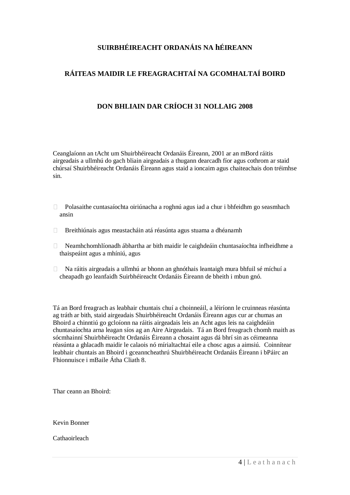# **SUIRBHÉIREACHT ORDANÁIS NA hÉIREANN**

# **RÁITEAS MAIDIR LE FREAGRACHTAÍ NA GCOMHALTAÍ BOIRD**

# **DON BHLIAIN DAR CRÍOCH 31 NOLLAIG 2008**

Ceanglaíonn an tAcht um Shuirbhéireacht Ordanáis Éireann, 2001 ar an mBord ráitis airgeadais a ullmhú do gach bliain airgeadais a thugann dearcadh fíor agus cothrom ar staid chúrsaí Shuirbhéireacht Ordanáis Éireann agus staid a ioncaim agus chaiteachais don tréimhse sin.

- Polasaithe cuntasaíochta oiriúnacha a roghnú agus iad a chur i bhfeidhm go seasmhach ansin
- Breithiúnais agus meastacháin atá réasúnta agus stuama a dhéanamh
- Neamhchomhlíonadh ábhartha ar bith maidir le caighdeáin chuntasaíochta infheidhme a thaispeáint agus a mhíniú, agus
- Na ráitis airgeadais a ullmhú ar bhonn an ghnóthais leantaigh mura bhfuil sé míchuí a cheapadh go leanfaidh Suirbhéireacht Ordanáis Éireann de bheith i mbun gnó.

Tá an Bord freagrach as leabhair chuntais chuí a choinneáil, a léiríonn le cruinneas réasúnta ag tráth ar bith, staid airgeadais Shuirbhéireacht Ordanáis Éireann agus cur ar chumas an Bhoird a chinntiú go gcloíonn na ráitis airgeadais leis an Acht agus leis na caighdeáin chuntasaíochta arna leagan síos ag an Aire Airgeadais. Tá an Bord freagrach chomh maith as sócmhainní Shuirbhéireacht Ordanáis Éireann a chosaint agus dá bhrí sin as céimeanna réasúnta a ghlacadh maidir le calaois nó mírialtachtaí eile a chosc agus a aimsiú. Coinnítear leabhair chuntais an Bhoird i gceanncheathrú Shuirbhéireacht Ordanáis Éireann i bPáirc an Fhionnuisce i mBaile Átha Cliath 8.

Thar ceann an Bhoird:

Kevin Bonner

Cathaoirleach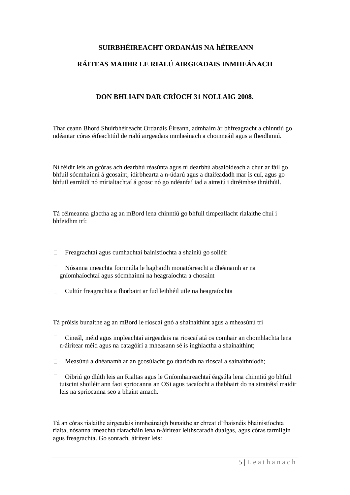# **SUIRBHÉIREACHT ORDANÁIS NA hÉIREANN**

# **RÁITEAS MAIDIR LE RIALÚ AIRGEADAIS INMHEÁNACH**

# **DON BHLIAIN DAR CRÍOCH 31 NOLLAIG 2008.**

Thar ceann Bhord Shuirbhéireacht Ordanáis Éireann, admhaím ár bhfreagracht a chinntiú go ndéantar córas éifeachtúil de rialú airgeadais inmheánach a choinneáil agus a fheidhmiú.

Ní féidir leis an gcóras ach dearbhú réasúnta agus ní dearbhú absalóideach a chur ar fáil go bhfuil sócmhainní á gcosaint, idirbhearta a n-údarú agus a dtaifeadadh mar is cuí, agus go bhfuil earráidí nó mírialtachtaí á gcosc nó go ndéanfaí iad a aimsiú i dtréimhse thráthúil.

Tá céimeanna glactha ag an mBord lena chinntiú go bhfuil timpeallacht rialaithe chuí i bhfeidhm trí:

- $\Box$  Freagrachtaí agus cumhachtaí bainistíochta a shainiú go soiléir
- Nósanna imeachta foirmiúla le haghaidh monatóireacht a dhéanamh ar na gníomhaíochtaí agus sócmhainní na heagraíochta a chosaint
- $\Box$  Cultúr freagrachta a fhorbairt ar fud leibhéil uile na heagraíochta

Tá próisis bunaithe ag an mBord le rioscaí gnó a shainaithint agus a mheasúnú trí

- Cineál, méid agus impleachtaí airgeadais na rioscaí atá os comhair an chomhlachta lena n-áirítear méid agus na catagóirí a mheasann sé is inghlactha a shainaithint;
- Measúnú a dhéanamh ar an gcosúlacht go dtarlódh na rioscaí a sainaithníodh;
- $\Box$  Oibriú go dlúth leis an Rialtas agus le Gníomhaireachtaí éagsúla lena chinntiú go bhfuil tuiscint shoiléir ann faoi spriocanna an OSi agus tacaíocht a thabhairt do na straitéisí maidir leis na spriocanna seo a bhaint amach.

Tá an córas rialaithe airgeadais inmheánaigh bunaithe ar chreat d'fhaisnéis bhainistíochta rialta, nósanna imeachta riaracháin lena n-áirítear leithscaradh dualgas, agus córas tarmligin agus freagrachta. Go sonrach, áirítear leis: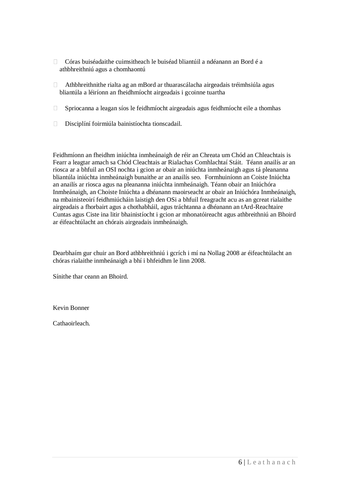- Córas buiséadaithe cuimsitheach le buiséad bliantúil a ndéanann an Bord é a athbhreithniú agus a chomhaontú
- $\Box$  Athbhreithnithe rialta ag an mBord ar thuarascálacha airgeadais tréimhsiúla agus bliantúla a léiríonn an fheidhmíocht airgeadais i gcoinne tuartha
- Spriocanna a leagan síos le feidhmíocht airgeadais agus feidhmíocht eile a thomhas
- Disciplíní foirmiúla bainistíochta tionscadail.

Feidhmíonn an fheidhm iniúchta inmheánaigh de réir an Chreata um Chód an Chleachtais is Fearr a leagtar amach sa Chód Cleachtais ar Rialachas Comhlachtaí Stáit. Téann anailís ar an riosca ar a bhfuil an OSI nochta i gcion ar obair an iniúchta inmheánaigh agus tá pleananna bliantúla iniúchta inmheánaigh bunaithe ar an anailís seo. Formhuiníonn an Coiste Iniúchta an anailís ar riosca agus na pleananna iniúchta inmheánaigh. Téann obair an Iniúchóra Inmheánaigh, an Choiste Iniúchta a dhéanann maoirseacht ar obair an Iniúchóra Inmheánaigh, na mbainisteoirí feidhmiúcháin laistigh den OSi a bhfuil freagracht acu as an gcreat rialaithe airgeadais a fhorbairt agus a chothabháil, agus tráchtanna a dhéanann an tArd-Reachtaire Cuntas agus Ciste ina litir bhainistíocht i gcion ar mhonatóireacht agus athbreithniú an Bhoird ar éifeachtúlacht an chórais airgeadais inmheánaigh.

Dearbhaím gur chuir an Bord athbhreithniú i gcrích i mí na Nollag 2008 ar éifeachtúlacht an chóras rialaithe inmheánaigh a bhí i bhfeidhm le linn 2008.

Sínithe thar ceann an Bhoird.

Kevin Bonner

Cathaoirleach.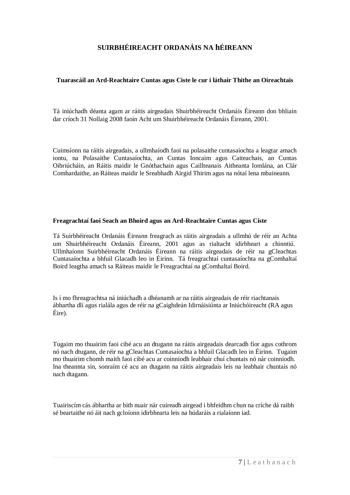# **SUIRBHÉIREACHT ORDANÁIS NA hÉIREANN**

### **Tuarascáil an Ard-Reachtaire Cuntas agus Ciste le cur i láthair Thithe an Oireachtais**

Tá iniúchadh déanta agam ar ráitis airgeadais Shuirbhéireacht Ordanáis Éireann don bhliain dar críoch 31 Nollaig 2008 faoin Acht um Shuirbhéireacht Ordanáis Éireann, 2001.

Cuimsíonn na ráitis airgeadais, a ullmhaíodh faoi na polasaithe cuntasaíochta a leagtar amach iontu, na Polasaithe Cuntasaíochta, an Cuntas Ioncaim agus Caiteachais, an Cuntas Oibriúcháin, an Ráitis maidir le Gnóthachain agus Caillteanais Aitheanta Iomlána, an Clár Comhardaithe, an Ráiteas maidir le Sreabhadh Airgid Thirim agus na nótaí lena mbaineann.

#### **Freagrachtaí faoi Seach an Bhoird agus an Ard-Reachtaire Cuntas agus Ciste**

Tá Suirbhéireacht Ordanáis Éireann freagrach as ráitis airgeadais a ullmhú de réir an Achta um Shuirbhéireacht Ordanáis Éireann, 2001 agus as rialtacht idirbheart a chinntiú. Ullmhaíonn Suirbhéireacht Ordanáis Éireann na ráitis airgeadais de réir na gCleachtas Cuntasaíochta a bhfuil Glacadh leo in Éirinn. Tá freagrachtaí cuntasaíochta na gComhaltaí Boird leagtha amach sa Ráiteas maidir le Freagrachtaí na gComhaltaí Boird.

Is í mo fhreagrachtsa ná iniúchadh a dhéanamh ar na ráitis airgeadais de réir riachtanais ábhartha dlí agus rialála agus de réir na gCaighdeán Idirnáisiúnta ar Iniúchóireacht (RA agus Éire).

Tugaim mo thuairim faoi cibé acu an dtugann na ráitis airgeadais dearcadh fíor agus cothrom nó nach dtugann, de réir na gCleachtas Cuntasaíochta a bhfuil Glacadh leo in Éirinn. Tugaim mo thuairim chomh maith faoi cibé acu ar coinníodh leabhair chuí chuntais nó nár coinníodh. Ina theannta sin, sonraím cé acu an dtagann na ráitis airgeadais leis na leabhair chuntais nó nach dtagann.

Tuairiscím cás ábhartha ar bith nuair nár cuireadh airgead i bhfeidhm chun na críche dá raibh sé beartaithe nó áit nach gcloíonn idirbhearta leis na húdaráis a rialaíonn iad.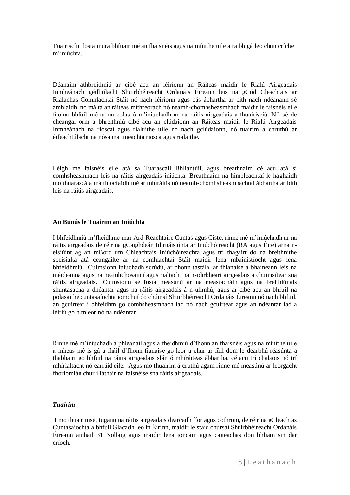Tuairiscím fosta mura bhfuair mé an fhaisnéis agus na mínithe uile a raibh gá leo chun críche m'iniúchta.

Déanaim athbreithniú ar cibé acu an léiríonn an Ráiteas maidir le Rialú Airgeadais Inmheánach géilliúlacht Shuirbhéireacht Ordanáis Éireann leis na gCód Cleachtais ar Rialachas Comhlachtaí Stáit nó nach léiríonn agus cás ábhartha ar bith nach ndéanann sé amhlaidh, nó má tá an ráiteas míthreorach nó neamh-chomhsheasmhach maidir le faisnéis eile faoina bhfuil mé ar an eolas ó m'iniúchadh ar na ráitis airgeadais a thuairisciú. Níl sé de cheangal orm a bhreithniú cibé acu an clúdaíonn an Ráiteas maidir le Rialú Airgeadais Inmheánach na rioscaí agus rialuithe uile nó nach gclúdaíonn, nó tuairim a chruthú ar éifeachtúlacht na nósanna imeachta riosca agus rialaithe.

Léigh mé faisnéis eile atá sa Tuarascáil Bhliantúil, agus breathnaím cé acu atá sí comhsheasmhach leis na ráitis airgeadais iniúchta. Breathnaím na himpleachtaí le haghaidh mo thuarascála má thiocfaidh mé ar mhíráitis nó neamh-chomhsheasmhachtaí ábhartha ar bith leis na ráitis airgeadais.

#### **An Bunús le Tuairim an Iniúchta**

I bhfeidhmiú m'fheidhme mar Ard-Reachtaire Cuntas agus Ciste, rinne mé m'iniúchadh ar na ráitis airgeadais de réir na gCaighdeán Idirnáisiúnta ar Iniúchóireacht (RA agus Éire) arna neisiúint ag an mBord um Chleachtais Iniúchóireachta agus trí thagairt do na breithnithe speisialta atá ceangailte ar na comhlachtaí Stáit maidir lena mbainistíocht agus lena bhfeidhmiú. Cuimsíonn iniúchadh scrúdú, ar bhonn tástála, ar fhianaise a bhaineann leis na méideanna agus na neamhchosaintí agus rialtacht na n-idirbheart airgeadais a chuimsítear sna ráitis airgeadais. Cuimsíonn sé fosta measúnú ar na meastacháin agus na breithiúnais shuntasacha a dhéantar agus na ráitis airgeadais á n-ullmhú, agus ar cibé acu an bhfuil na polasaithe cuntasaíochta iomchuí do chúinsí Shuirbhéireacht Ordanáis Éireann nó nach bhfuil, an gcuirtear i bhfeidhm go comhsheasmhach iad nó nach gcuirtear agus an ndéantar iad a léiriú go himleor nó na ndéantar.

Rinne mé m'iniúchadh a phleanáil agus a fheidhmiú d'fhonn an fhaisnéis agus na mínithe uile a mheas mé is gá a fháil d'fhonn fianaise go leor a chur ar fáil dom le dearbhú réasúnta a thabhairt go bhfuil na ráitis airgeadais slán ó mhíráiteas ábhartha, cé acu trí chalaois nó trí mhírialtacht nó earráid eile. Agus mo thuairim á cruthú agam rinne mé measúnú ar leorgacht fhoriomlán chur i láthair na faisnéise sna ráitis airgeadais.

#### *Tuairim*

I mo thuairimse, tugann na ráitis airgeadais dearcadh fíor agus cothrom, de réir na gCleachtas Cuntasaíochta a bhfuil Glacadh leo in Éirinn, maidir le staid chúrsaí Shuirbhéireacht Ordanáis Éireann amhail 31 Nollaig agus maidir lena ioncam agus caiteachas don bhliain sin dar críoch.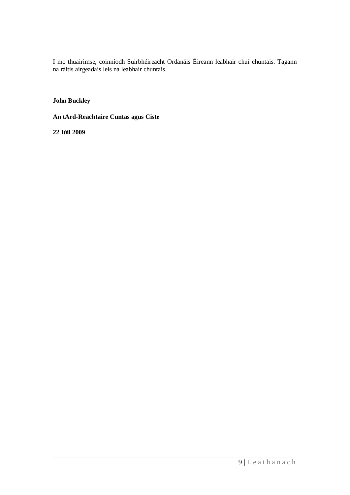I mo thuairimse, coinníodh Suirbhéireacht Ordanáis Éireann leabhair chuí chuntais. Tagann na ráitis airgeadais leis na leabhair chuntais.

**John Buckley**

**An tArd-Reachtaire Cuntas agus Ciste**

**22 Iúil 2009**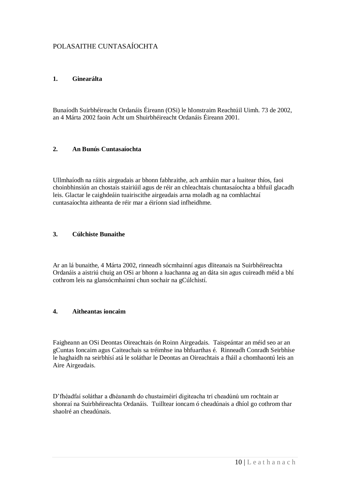# POLASAITHE CUNTASAÍOCHTA

#### **1. Ginearálta**

Bunaíodh Suirbhéireacht Ordanáis Éireann (OSi) le hIonstraim Reachtúil Uimh. 73 de 2002, an 4 Márta 2002 faoin Acht um Shuirbhéireacht Ordanáis Éireann 2001.

#### **2. An Bunús Cuntasaíochta**

Ullmhaíodh na ráitis airgeadais ar bhonn fabhraithe, ach amháin mar a luaitear thíos, faoi choinbhinsiún an chostais stairiúil agus de réir an chleachtais chuntasaíochta a bhfuil glacadh leis. Glactar le caighdeáin tuairiscithe airgeadais arna moladh ag na comhlachtaí cuntasaíochta aitheanta de réir mar a éiríonn siad infheidhme.

#### **3. Cúlchiste Bunaithe**

Ar an lá bunaithe, 4 Márta 2002, rinneadh sócmhainní agus dliteanais na Suirbhéireachta Ordanáis a aistriú chuig an OSi ar bhonn a luachanna ag an dáta sin agus cuireadh méid a bhí cothrom leis na glansócmhainní chun sochair na gCúlchistí.

#### **4. Aitheantas ioncaim**

Faigheann an OSi Deontas Oireachtais ón Roinn Airgeadais. Taispeántar an méid seo ar an gCuntas Ioncaim agus Caiteachais sa tréimhse ina bhfuarthas é. Rinneadh Conradh Seirbhíse le haghaidh na seirbhísí atá le soláthar le Deontas an Oireachtais a fháil a chomhaontú leis an Aire Airgeadais.

D'fhéadfaí soláthar a dhéanamh do chustaiméirí digiteacha trí cheadúnú um rochtain ar shonraí na Suirbhéireachta Ordanáis. Tuilltear ioncam ó cheadúnais a dhíol go cothrom thar shaolré an cheadúnais.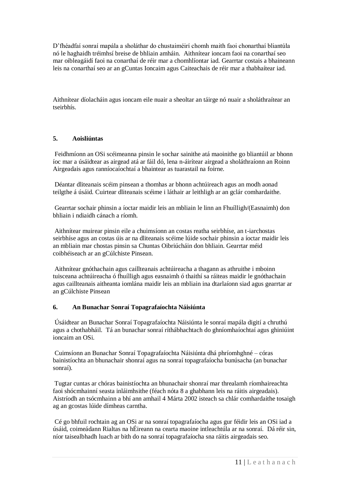D'fhéadfaí sonraí mapála a sholáthar do chustaiméirí chomh maith faoi chonarthaí bliantúla nó le haghaidh tréimhsí breise de bhliain amháin. Aithnítear ioncam faoi na conarthaí seo mar oibleagáidí faoi na conarthaí de réir mar a chomhlíontar iad. Gearrtar costais a bhaineann leis na conarthaí seo ar an gCuntas Ioncaim agus Caiteachais de réir mar a thabhaítear iad.

Aithnítear díolacháin agus ioncam eile nuair a sheoltar an táirge nó nuair a sholáthraítear an tseirbhís.

### **5. Aoisliúntas**

Feidhmíonn an OSi scéimeanna pinsin le sochar sainithe atá maoinithe go bliantúil ar bhonn íoc mar a úsáidtear as airgead atá ar fáil dó, lena n-áirítear airgead a sholáthraíonn an Roinn Airgeadais agus ranníocaíochtaí a bhaintear as tuarastail na foirne.

Déantar dliteanais scéim pinsean a thomhas ar bhonn achtúireach agus an modh aonad teilgthe á úsáid. Cuirtear dliteanais scéime i láthair ar leithligh ar an gclár comhardaithe.

Gearrtar sochair phinsin a íoctar maidir leis an mbliain le linn an Fhuílligh/(Easnaimh) don bhliain i ndiaidh cánach a ríomh.

Aithnítear muirear pinsin eile a chuimsíonn an costas reatha seirbhíse, an t-iarchostas seirbhíse agus an costas úis ar na dliteanais scéime lúide sochair phinsin a íoctar maidir leis an mbliain mar chostas pinsin sa Chuntas Oibriúcháin don bhliain. Gearrtar méid coibhéiseach ar an gCúlchiste Pinsean.

Aithnítear gnóthachain agus caillteanais achtúireacha a thagann as athruithe i mboinn tuisceana achtúireacha ó fhuílligh agus easnaimh ó thaithí sa ráiteas maidir le gnóthachain agus caillteanais aitheanta iomlána maidir leis an mbliain ina dtarlaíonn siad agus gearrtar ar an gCúlchiste Pinsean

### **6. An Bunachar Sonraí Topagrafaíochta Náisiúnta**

Úsáidtear an Bunachar Sonraí Topagrafaíochta Náisiúnta le sonraí mapála digití a chruthú agus a chothabháil. Tá an bunachar sonraí ríthábhachtach do ghníomhaíochtaí agus ghiniúint ioncaim an OSi.

Cuimsíonn an Bunachar Sonraí Topagrafaíochta Náisiúnta dhá phríomhghné – córas bainistíochta an bhunachair shonraí agus na sonraí topagrafaíocha bunúsacha (an bunachar sonraí).

Tugtar cuntas ar chóras bainistíochta an bhunachair shonraí mar threalamh ríomhaireachta faoi shócmhainní seasta inláimhsithe (féach nóta 8 a ghabhann leis na ráitis airgeadais). Aistríodh an tsócmhainn a bhí ann amhail 4 Márta 2002 isteach sa chlár comhardaithe tosaigh ag an gcostas lúide dímheas carntha.

Cé go bhfuil rochtain ag an OSi ar na sonraí topagrafaíocha agus gur féidir leis an OSi iad a úsáid, coimeádann Rialtas na hÉireann na cearta maoine intleachtúla ar na sonraí. Dá réir sin, níor taisealbhadh luach ar bith do na sonraí topagrafaíocha sna ráitis airgeadais seo.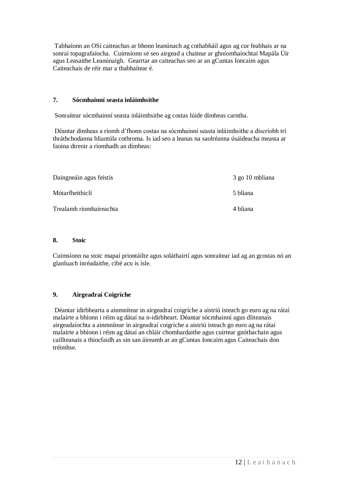Tabhaíonn an OSi caiteachas ar bhonn leanúnach ag cothabháil agus ag cur feabhais ar na sonraí topagrafaíocha. Cuimsíonn sé seo airgead a chaitear ar ghníomhaíochtaí Mapála Úir agus Leasaithe Leanúnaigh. Gearrtar an caiteachas seo ar an gCuntas Ioncaim agus Caiteachais de réir mar a thabhaítear é.

### **7. Sócmhainní seasta inláimhsithe**

Sonraítear sócmhainní seasta inláimhsithe ag costas lúide dímheas carntha.

Déantar dímheas a ríomh d'fhonn costas na sócmhainní seasta inláimhsithe a díscríobh trí thráthchodanna bliantúla cothroma. Is iad seo a leanas na saolréanna úsáideacha measta ar faoina dtreoir a ríomhadh an dímheas:

| Daingneáin agus feistis | 3 go 10 mbliana |
|-------------------------|-----------------|
| Mótarfheithiclí         | 5 bliana        |
| Trealamh ríomhaireachta | 4 bliana        |

#### **8. Stoic**

Cuimsíonn na stoic mapaí priontáilte agus soláthairtí agus sonraítear iad ag an gcostas nó an glanluach inréadaithe, cibé acu is ísle.

### **9. Airgeadraí Coigríche**

Déantar idirbhearta a ainmnítear in airgeadraí coigríche a aistriú isteach go euro ag na rátaí malairte a bhíonn i réim ag dátaí na n-idirbheart. Déantar sócmhainní agus dliteanais airgeadaíochta a ainmnítear in airgeadraí coigríche a aistriú isteach go euro ag na rátaí malairte a bhíonn i réim ag dátaí an chláir chomhardaithe agus cuirtear gnóthachain agus caillteanais a thiocfaidh as sin san áireamh ar an gCuntas Ioncaim agus Caiteachais don tréimhse.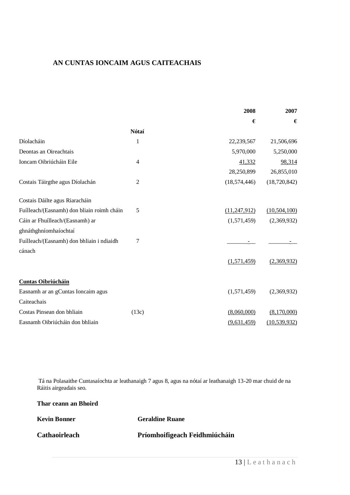# **AN CUNTAS IONCAIM AGUS CAITEACHAIS**

|                                            |                | 2008           | 2007           |
|--------------------------------------------|----------------|----------------|----------------|
|                                            |                | €              | $\epsilon$     |
|                                            | Nótaí          |                |                |
| Díolacháin                                 | 1              | 22,239,567     | 21,506,696     |
| Deontas an Oireachtais                     |                | 5,970,000      | 5,250,000      |
| Ioncam Oibriúcháin Eile                    | $\overline{4}$ | 41,332         | 98,314         |
|                                            |                | 28,250,899     | 26,855,010     |
| Costais Táirgthe agus Díolachán            | 2              | (18, 574, 446) | (18,720,842)   |
| Costais Dáilte agus Riaracháin             |                |                |                |
| Fuílleach/(Easnamh) don bliain roimh cháin | 5              | (11, 247, 912) | (10, 504, 100) |
| Cáin ar Fhuílleach/(Easnamh) ar            |                | (1,571,459)    | (2,369,932)    |
| ghnáthghníomhaíochtaí                      |                |                |                |
| Fuílleach/(Easnamh) don bhliain i ndiaidh  | 7              |                |                |
| cánach                                     |                |                |                |
|                                            |                | (1,571,459)    | (2,369,932)    |
| <b>Cuntas Oibriúcháin</b>                  |                |                |                |
| Easnamh ar an gCuntas Ioncaim agus         |                | (1,571,459)    | (2,369,932)    |
| Caiteachais                                |                |                |                |
| Costas Pinsean don bhliain                 | (13c)          | (8,060,000)    | (8,170,000)    |
| Easnamh Oibriúcháin don bhliain            |                | (9,631,459)    | (10, 539, 932) |

Tá na Polasaithe Cuntasaíochta ar leathanaigh 7 agus 8, agus na nótaí ar leathanaigh 13-20 mar chuid de na Ráitis airgeadais seo.

| <b>Kevin Bonner</b>  | <b>Geraldine Ruane</b>        |
|----------------------|-------------------------------|
| <b>Cathaoirleach</b> | Príomhoifigeach Feidhmiúcháin |

**Thar ceann an Bhoird**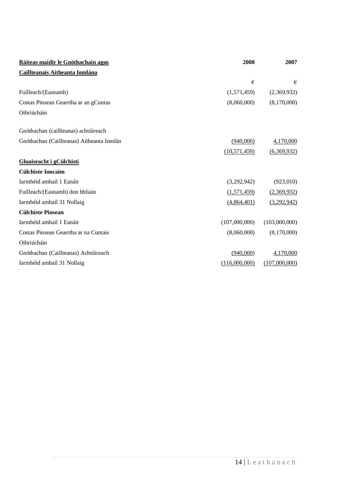| Ráiteas maidir le Gnóthachain agus        | 2008           | 2007          |
|-------------------------------------------|----------------|---------------|
| Caillteanais Aitheanta Iomlána            |                |               |
|                                           | €              | €             |
| Fuílleach/(Easnamh)                       | (1,571,459)    | (2,369,932)   |
| Costas Pinsean Gearrtha ar an gCuntas     | (8,060,000)    | (8,170,000)   |
| Oibriúcháin                               |                |               |
| Gnóthachan (caillteanas) achtúireach      |                |               |
| Gnóthachan (Caillteanas) Aitheanta Iomlán | (940,000)      | 4,170,000     |
|                                           | (10, 571, 459) | (6,369,932)   |
| Gluaiseacht i gCúlchistí                  |                |               |
| <b>Cúlchiste Ioncaim</b>                  |                |               |
| Iarmhéid amhail 1 Eanáir                  | (3,292,942)    | (923,010)     |
| Fuílleach/(Easnamh) don bhliain           | (1,571,459)    | (2,369,932)   |
| Iarmhéid amhail 31 Nollaig                | (4,864,401)    | (3,292,942)   |
| <b>Cúlchiste Pinsean</b>                  |                |               |
| Iarmhéid amhail 1 Eanáir                  | (107,000,000)  | (103,000,000) |
| Costas Pinsean Gearrtha ar na Cuntais     | (8,060,000)    | (8,170,000)   |
| Oibriúcháin                               |                |               |
| Gnóthachan (Caillteanas) Achtúireach      | (940,000)      | 4,170,000     |
| Iarmhéid amhail 31 Nollaig                | (116,000,000)  | (107,000,000) |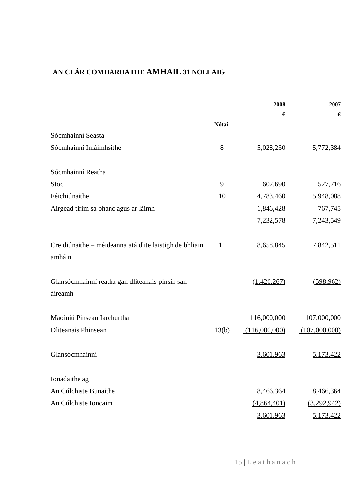# **AN CLÁR COMHARDATHE AMHAIL 31 NOLLAIG**

|                                                                   |       | 2008             | 2007          |
|-------------------------------------------------------------------|-------|------------------|---------------|
|                                                                   |       | $\pmb{\epsilon}$ | €             |
|                                                                   | Nótaí |                  |               |
| Sócmhainní Seasta                                                 |       |                  |               |
| Sócmhainní Inláimhsithe                                           | 8     | 5,028,230        | 5,772,384     |
| Sócmhainní Reatha                                                 |       |                  |               |
| Stoc                                                              | 9     | 602,690          | 527,716       |
| Féichiúnaithe                                                     | 10    | 4,783,460        | 5,948,088     |
| Airgead tirim sa bhanc agus ar láimh                              |       | 1,846,428        | 767,745       |
|                                                                   |       | 7,232,578        | 7,243,549     |
| Creidiúnaithe - méideanna atá dlite laistigh de bhliain<br>amháin | 11    | 8,658,845        | 7,842,511     |
| Glansócmhainní reatha gan dliteanais pinsin san<br>áireamh        |       | (1, 426, 267)    | (598, 962)    |
| Maoiniú Pinsean Iarchurtha                                        |       | 116,000,000      | 107,000,000   |
| Dliteanais Phinsean                                               | 13(b) | (116,000,000)    | (107,000,000) |
| Glansócmhainní                                                    |       | 3,601,963        | 5,173,422     |
| Ionadaithe ag                                                     |       |                  |               |
| An Cúlchiste Bunaithe                                             |       | 8,466,364        | 8,466,364     |
| An Cúlchiste Ioncaim                                              |       | (4,864,401)      | (3,292,942)   |
|                                                                   |       | 3,601,963        | 5,173,422     |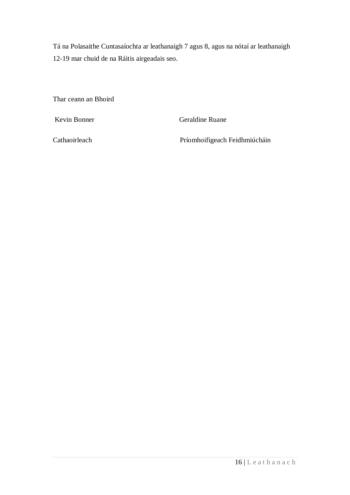Tá na Polasaithe Cuntasaíochta ar leathanaigh 7 agus 8, agus na nótaí ar leathanaigh 12-19 mar chuid de na Ráitis airgeadais seo.

Thar ceann an Bhoird

Kevin Bonner Geraldine Ruane

Cathaoirleach Príomhoifigeach Feidhmiúcháin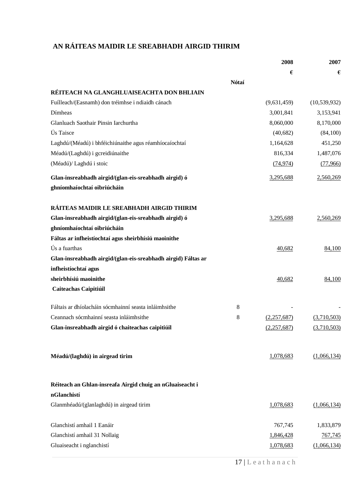# **AN RÁITEAS MAIDIR LE SREABHADH AIRGID THIRIM**

|                                                                          |       | 2008        | 2007           |
|--------------------------------------------------------------------------|-------|-------------|----------------|
|                                                                          |       | €           | €              |
|                                                                          | Nótaí |             |                |
| RÉITEACH NA GLANGHLUAISEACHTA DON BHLIAIN                                |       |             |                |
| Fuílleach/(Easnamh) don tréimhse i ndiaidh cánach                        |       | (9,631,459) | (10, 539, 932) |
| Dímheas                                                                  |       | 3,001,841   | 3,153,941      |
| Glanluach Saothair Pinsin Iarchurtha                                     |       | 8,060,000   | 8,170,000      |
| Ús Taisce                                                                |       | (40,682)    | (84,100)       |
| Laghdú/(Méadú) i bhféichiúnaithe agus réamhíocaíochtaí                   |       | 1,164,628   | 451,250        |
| Méadú/(Laghdú) i gcreidiúnaithe                                          |       | 816,334     | 1,487,076      |
| (Méadú)/ Laghdú i stoic                                                  |       | (74, 974)   | (77,966)       |
| Glan-insreabhadh airgid/(glan-eis-sreabhadh airgid) ó                    |       | 3,295,688   | 2,560,269      |
| ghníomhaíochtaí oibriúcháin                                              |       |             |                |
| RÁITEAS MAIDIR LE SREABHADH AIRGID THIRIM                                |       |             |                |
| Glan-insreabhadh airgid/(glan-eis-sreabhadh airgid) ó                    |       | 3,295,688   | 2,560,269      |
| ghníomhaíochtaí oibriúcháin                                              |       |             |                |
| Fáltas ar infheistíochtaí agus sheirbhísiú maoinithe                     |       |             |                |
| Ús a fuarthas                                                            |       | 40,682      | 84,100         |
| Glan-insreabhadh airgid/(glan-eis-sreabhadh airgid) Fáltas ar            |       |             |                |
| infheistíochtaí agus                                                     |       |             |                |
| sheirbhísiú maoinithe                                                    |       | 40,682      | 84,100         |
| Caiteachas Caipitiúil                                                    |       |             |                |
| Fáltais ar dhíolacháin sócmhainní seasta inláimhsithe                    | 8     |             |                |
| Ceannach sócmhainní seasta inláimhsithe                                  | 8     | (2,257,687) | (3,710,503)    |
| Glan-insreabhadh airgid ó chaiteachas caipitiúil                         |       | (2,257,687) | (3,710,503)    |
|                                                                          |       |             |                |
| Méadú/(laghdú) in airgead tirim                                          |       | 1,078,683   | (1,066,134)    |
|                                                                          |       |             |                |
| Réiteach an Ghlan-insreafa Airgid chuig an nGluaiseacht i<br>nGlanchistí |       |             |                |
|                                                                          |       |             |                |
| Glanmhéadú/(glanlaghdú) in airgead tirim                                 |       | 1,078,683   | (1,066,134)    |
| Glanchistí amhail 1 Eanáir                                               |       | 767,745     | 1,833,879      |
| Glanchistí amhail 31 Nollaig                                             |       | 1,846,428   | 767,745        |
| Gluaiseacht i nglanchistí                                                |       | 1,078,683   | (1,066,134)    |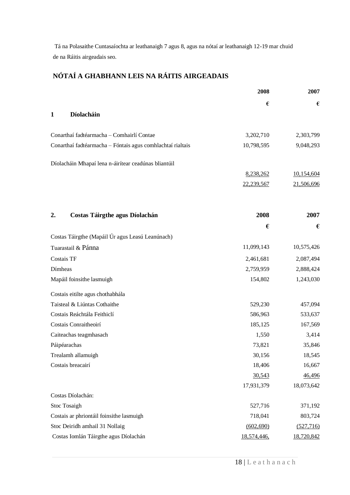Tá na Polasaithe Cuntasaíochta ar leathanaigh 7 agus 8, agus na nótaí ar leathanaigh 12-19 mar chuid de na Ráitis airgeadais seo.

# **NÓTAÍ A GHABHANN LEIS NA RÁITIS AIRGEADAIS**

|                                                            | 2008        | 2007       |
|------------------------------------------------------------|-------------|------------|
|                                                            | €           | €          |
| Díolacháin<br>1                                            |             |            |
| Conarthaí fadtéarmacha - Comhairlí Contae                  | 3,202,710   | 2,303,799  |
| Conarthaí fadtéarmacha - Fóntais agus comhlachtaí rialtais | 10,798,595  | 9,048,293  |
| Díolacháin Mhapaí lena n-áirítear ceadúnas bliantúil       |             |            |
|                                                            | 8,238,262   | 10,154,604 |
|                                                            | 22,239,567  | 21,506,696 |
| Costas Táirgthe agus Díolachán<br>2.                       | 2008        | 2007       |
|                                                            | €           | €          |
| Costas Táirgthe (Mapáil Úr agus Leasú Leanúnach)           |             |            |
| Tuarastail & Pánna                                         | 11,099,143  | 10,575,426 |
| <b>Costais TF</b>                                          | 2,461,681   | 2,087,494  |
| Dímheas                                                    | 2,759,959   | 2,888,424  |
| Mapáil foinsithe lasmuigh                                  | 154,802     | 1,243,030  |
| Costais eitilte agus chothabhála                           |             |            |
| Taisteal & Liúntas Cothaithe                               | 529,230     | 457,094    |
| Costais Reáchtála Feithiclí                                | 586,963     | 533,637    |
| Costais Conraitheoirí                                      | 185,125     | 167,569    |
| Caiteachas teagmhasach                                     | 1,550       | 3,414      |
| Páipéarachas                                               | 73,821      | 35,846     |
| Trealamh allamuigh                                         | 30,156      | 18,545     |
| Costais breacairí                                          | 18,406      | 16,667     |
|                                                            | 30,543      | 46,496     |
|                                                            | 17,931,379  | 18,073,642 |
| Costas Díolachán:                                          |             |            |
| Stoc Tosaigh                                               | 527,716     | 371,192    |
| Costais ar phriontáil foinsithe lasmuigh                   | 718,041     | 803,724    |
| Stoc Deiridh amhail 31 Nollaig                             | (602, 690)  | (527, 716) |
| Costas Iomlán Táirgthe agus Díolachán                      | 18,574,446. | 18,720,842 |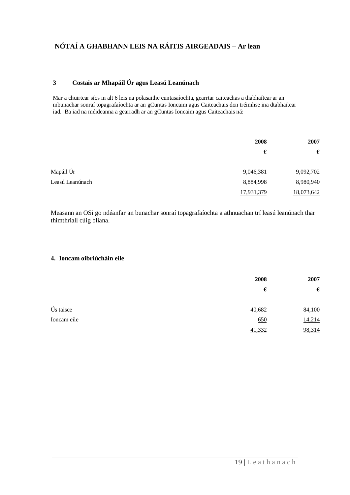# **3 Costais ar Mhapáil Úr agus Leasú Leanúnach**

Mar a chuirtear síos in alt 6 leis na polasaithe cuntasaíochta, gearrtar caiteachas a thabhaítear ar an mbunachar sonraí topagrafaíochta ar an gCuntas Ioncaim agus Caiteachais don tréimhse ina dtabhaítear iad. Ba iad na méideanna a gearradh ar an gCuntas Ioncaim agus Caiteachais ná:

|                 | 2008       | 2007       |
|-----------------|------------|------------|
|                 | €          | €          |
| Mapáil Úr       | 9,046,381  | 9,092,702  |
| Leasú Leanúnach | 8,884,998  | 8,980,940  |
|                 | 17,931,379 | 18,073,642 |

Measann an OSi go ndéanfar an bunachar sonraí topagrafaíochta a athnuachan trí leasú leanúnach thar thimthriall cúig bliana.

### **4. Ioncam oibriúcháin eile**

|             | 2008   | 2007   |
|-------------|--------|--------|
|             | €      | €      |
| Ús taisce   | 40,682 | 84,100 |
| Ioncam eile | 650    | 14,214 |
|             | 41,332 | 98,314 |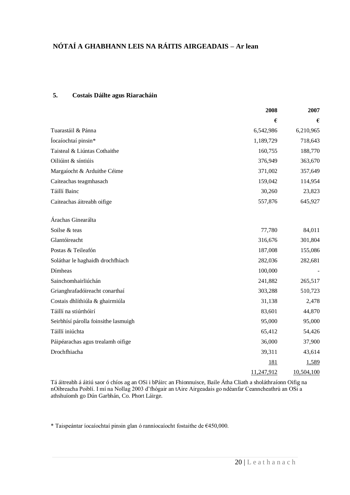### **5. Costais Dáilte agus Riaracháin**

|                                      | 2008       | 2007       |
|--------------------------------------|------------|------------|
|                                      | €          | €          |
| Tuarastáil & Pánna                   | 6,542,986  | 6,210,965  |
| Íocaíochtaí pinsin*                  | 1,189,729  | 718,643    |
| Taisteal & Liúntas Cothaithe         | 160,755    | 188,770    |
| Oiliúint & síntiúis                  | 376,949    | 363,670    |
| Margaíocht & Arduithe Céime          | 371,002    | 357,649    |
| Caiteachas teagmhasach               | 159,042    | 114,954    |
| Táillí Bainc                         | 30,260     | 23,823     |
| Caiteachas áitreabh oifige           | 557,876    | 645,927    |
| Árachas Ginearálta                   |            |            |
| Soilse & teas                        | 77,780     | 84,011     |
| Glantóireacht                        | 316,676    | 301,804    |
| Postas & Teileafón                   | 187,008    | 155,086    |
| Soláthar le haghaidh drochfhiach     | 282,036    | 282,681    |
| Dímheas                              | 100,000    |            |
| Sainchomhairliúchán                  | 241,882    | 265,517    |
| Grianghrafadóireacht conarthaí       | 303,288    | 510,723    |
| Costais dhlíthiúla & ghairmiúla      | 31,138     | 2,478      |
| Táillí na stiúrthóirí                | 83,601     | 44,870     |
| Seirbhísí párolla foinsithe lasmuigh | 95,000     | 95,000     |
| Táillí iniúchta                      | 65,412     | 54,426     |
| Páipéarachas agus trealamh oifige    | 36,000     | 37,900     |
| Drochfhiacha                         | 39,311     | 43,614     |
|                                      | <u>181</u> | 1,589      |
|                                      | 11,247,912 | 10,504,100 |

Tá áitreabh á áitiú saor ó chíos ag an OSi i bPáirc an Fhionnuisce, Baile Átha Cliath a sholáthraíonn Oifig na nOibreacha Poiblí. I mí na Nollag 2003 d'fhógair an tAire Airgeadais go ndéanfar Ceanncheathrú an OSi a athshuíomh go Dún Garbhán, Co. Phort Láirge.

\* Taispeántar íocaíochtaí pinsin glan ó ranníocaíocht fostaithe de €450,000.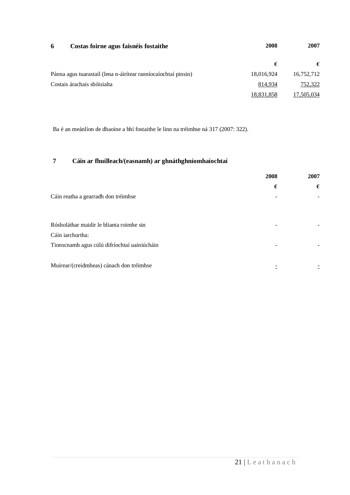| 6<br>Costas foirne agus faisnéis fostaithe                     | 2008       | 2007       |
|----------------------------------------------------------------|------------|------------|
|                                                                | €          | €          |
| Pánna agus tuarastail (lena n-áirítear ranníocaíochtaí pinsin) | 18,016,924 | 16,752,712 |
| Costais árachais shóisialta                                    | 814,934    | 752,322    |
|                                                                | 18,831,858 | 17,505,034 |

Ba é an meánlíon de dhaoine a bhí fostaithe le linn na tréimhse ná 317 (2007: 322).

# **7 Cáin ar fhuílleach/(easnamh) ar ghnáthghníomhaíochtaí**

|                                              | 2008                     | 2007 |
|----------------------------------------------|--------------------------|------|
|                                              | €                        | €    |
| Cáin reatha a gearradh don tréimhse          |                          |      |
|                                              |                          |      |
| Rósholáthar maidir le blianta roimhe sin     | $\overline{\phantom{a}}$ |      |
| Cáin iarchurtha:                             |                          |      |
| Tionscnamh agus cúlú difríochtaí uainiúcháin |                          |      |
| Muirear/(creidmheas) cánach don tréimhse     |                          |      |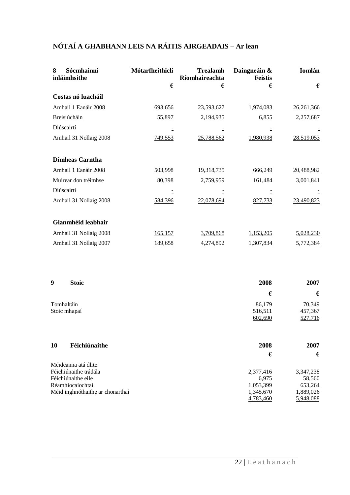| 8<br>Sócmhainní<br>inláimhsithe | Mótarfheithiclí | <b>Trealamh</b><br>Ríomhaireachta | Daingneáin &<br><b>Feistis</b> | Iomlán     |
|---------------------------------|-----------------|-----------------------------------|--------------------------------|------------|
|                                 | €               | €                                 | €                              | €          |
| Costas nó luacháil              |                 |                                   |                                |            |
| Amhail 1 Eanáir 2008            | 693,656         | 23,593,627                        | 1,974,083                      | 26,261,366 |
| Breisiúcháin                    | 55,897          | 2,194,935                         | 6,855                          | 2,257,687  |
| Diúscairtí                      |                 |                                   |                                |            |
| Amhail 31 Nollaig 2008          | 749,553         | 25,788,562                        | 1,980,938                      | 28,519,053 |
| <b>Dímheas Carntha</b>          |                 |                                   |                                |            |
| Amhail 1 Eanáir 2008            | 503,998         | 19,318,735                        | 666,249                        | 20,488,982 |
| Muirear don tréimhse            | 80,398          | 2,759,959                         | 161,484                        | 3,001,841  |
| Diúscairtí                      |                 |                                   |                                |            |
| Amhail 31 Nollaig 2008          | 584,396         | 22,078,694                        | 827,733                        | 23,490,823 |
| Glanmhéid leabhair              |                 |                                   |                                |            |
| Amhail 31 Nollaig 2008          | <u>165,157</u>  | 3,709,868                         | 1,153,205                      | 5,028,230  |
| Amhail 31 Nollaig 2007          | 189,658         | 4,274,892                         | 1,307,834                      | 5,772,384  |

| 9  | <b>Stoic</b>               | 2008                         | 2007                         |
|----|----------------------------|------------------------------|------------------------------|
|    |                            | €                            | €                            |
|    | Tomhaltáin<br>Stoic mhapaí | 86,179<br>516,511<br>602,690 | 70,349<br>457,367<br>527,716 |
| 10 | Féichiúnaithe              | 2008<br>€                    | 2007<br>€                    |

| Méideanna atá dlite:             |           |           |
|----------------------------------|-----------|-----------|
| Féichiúnaithe trádála            | 2,377,416 | 3,347,238 |
| Féichiúnaithe eile               | 6.975     | 58.560    |
| Réamhíocaíochtaí                 | 1.053.399 | 653.264   |
| Méid inghnóthaithe ar chonarthaí | 1,345,670 | 1,889,026 |
|                                  | 4,783,460 | 5,948,088 |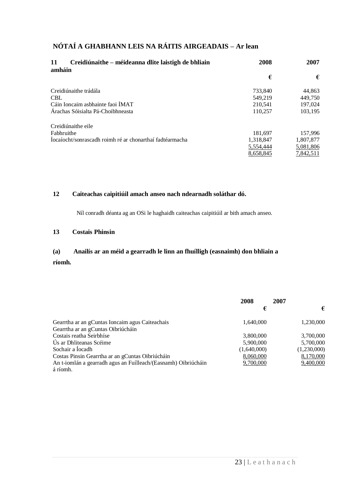| Creidiúnaithe – méideanna dlite laistigh de bhliain<br>11<br>amháin | 2008      | 2007      |
|---------------------------------------------------------------------|-----------|-----------|
|                                                                     | €         | €         |
| Creidiúnaithe trádála                                               | 733.840   | 44,863    |
| <b>CBL</b>                                                          | 549.219   | 449,750   |
| Cáin Ioncaim asbhainte faoi IMAT                                    | 210.541   | 197,024   |
| Árachas Sóisialta Pá-Choibhneasta                                   | 110,257   | 103,195   |
| Creidiúnaithe eile                                                  |           |           |
| Fabhruithe                                                          | 181.697   | 157.996   |
| Íocaíocht/sonrascadh roimh ré ar chonarthaí fadtéarmacha            | 1,318,847 | 1,807,877 |
|                                                                     | 5,554,444 | 5,081,806 |
|                                                                     | 8,658,845 | 7,842,511 |

### **12 Caiteachas caipitiúil amach anseo nach ndearnadh soláthar dó.**

Níl conradh déanta ag an OSi le haghaidh caiteachas caipitiúil ar bith amach anseo.

#### **13 Costais Phinsin**

#### **(a) Anailís ar an méid a gearradh le linn an fhuílligh (easnaimh) don bhliain a**

#### **ríomh.**

|                                                                | 2008        | 2007        |
|----------------------------------------------------------------|-------------|-------------|
|                                                                | €           | €           |
| Gearrtha ar an gCuntas Ioncaim agus Caiteachais                | 1.640.000   | 1,230,000   |
| Gearrtha ar an gCuntas Oibriúcháin                             |             |             |
| Costais reatha Seirbhíse                                       | 3,800,000   | 3,700,000   |
| Us ar Dhliteanas Scéime                                        | 5,900,000   | 5,700,000   |
| Sochair a Iocadh                                               | (1,640,000) | (1,230,000) |
| Costas Pinsin Gearrtha ar an gCuntas Oibriúcháin               | 8,060,000   | 8,170,000   |
| An t-iomlán a gearradh agus an Fuílleach/(Easnamh) Oibriúcháin | 9,700,000   | 9,400,000   |
| á ríomh.                                                       |             |             |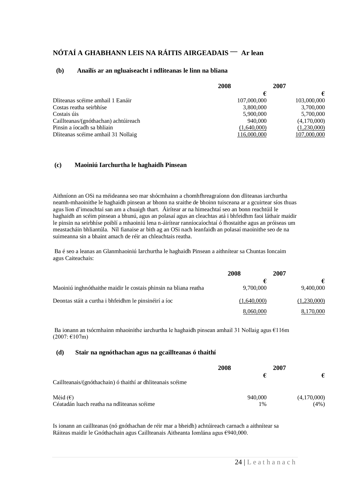#### **(b) Anailís ar an ngluaiseacht i ndliteanas le linn na bliana**

|                                      | 2008        | 2007 |             |
|--------------------------------------|-------------|------|-------------|
|                                      | €           |      | €           |
| Dliteanas scéime amhail 1 Eanáir     | 107,000,000 |      | 103,000,000 |
| Costas reatha seirbhíse              | 3,800,000   |      | 3,700,000   |
| Costais úis                          | 5,900,000   |      | 5,700,000   |
| Caillteanas/(gnóthachan) achtúireach | 940,000     |      | (4,170,000) |
| Pinsin a íocadh sa bhliain           | (1,640,000) |      | (1,230,000) |
| Dliteanas scéime amhail 31 Nollaig   | 116,000,000 |      | 107,000,000 |

#### **(c) Maoiniú Iarchurtha le haghaidh Pinsean**

Aithníonn an OSi na méideanna seo mar shócmhainn a chomhfhreagraíonn don dliteanas iarchurtha neamh-mhaoinithe le haghaidh pinsean ar bhonn na sraithe de bhoinn tuisceana ar a gcuirtear síos thuas agus líon d'imeachtaí san am a chuaigh thart. Áirítear ar na himeachtaí seo an bonn reachtúil le haghaidh an scéim pinsean a bhunú, agus an polasaí agus an cleachtas atá i bhfeidhm faoi láthair maidir le pinsin na seirbhíse poiblí a mhaoiniú lena n-áirítear ranníocaíochtaí ó fhostaithe agus an próiseas um meastacháin bhliantúla. Níl fianaise ar bith ag an OSi nach leanfaidh an polasaí maoinithe seo de na suimeanna sin a bhaint amach de réir an chleachtais reatha.

Ba é seo a leanas an Glanmhaoiniú Iarchurtha le haghaidh Pinsean a aithnítear sa Chuntas Ioncaim agus Caiteachais:

|                                                                  | 2008        | 2007        |
|------------------------------------------------------------------|-------------|-------------|
|                                                                  |             |             |
| Maoiniú inghnóthaithe maidir le costais phinsin na bliana reatha | 9,700,000   | 9,400,000   |
| Deontas stáit a curtha i bhfeidhm le pinsinéirí a íoc            | (1,640,000) | (1,230,000) |
|                                                                  | 8,060,000   | 8,170,000   |

Ba ionann an tsócmhainn mhaoinithe iarchurtha le haghaidh pinsean amhail 31 Nollaig agus €116m (2007: €107m)

#### **(d) Stair na ngnóthachan agus na gcaillteanas ó thaithí**

|                                                            | 2008 | 2007    |             |
|------------------------------------------------------------|------|---------|-------------|
| Caillteanais/(gnóthachain) ó thaithí ar dhliteanais scéime |      | €       | €           |
| Méid $(\epsilon)$                                          |      | 940,000 | (4,170,000) |
| Céatadán luach reatha na ndliteanas scéime                 |      | 1%      | (4%)        |

Is ionann an caillteanas (nó gnóthachan de réir mar a bheidh) achtúireach carnach a aithnítear sa Ráiteas maidir le Gnóthachain agus Caillteanais Aitheanta Iomlána agus €940,000.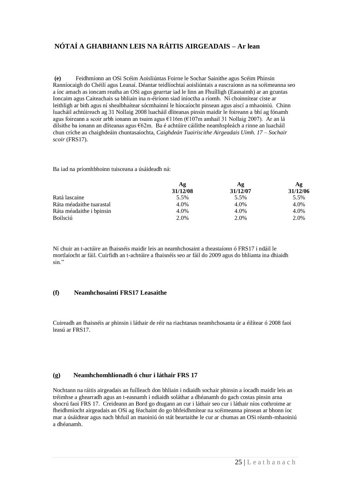**(e)** Feidhmíonn an OSi Scéim Aoisliúntas Foirne le Sochar Sainithe agus Scéim Phinsin Ranníocaigh do Chéilí agus Leanaí. Déantar teidlíochtaí aoisliúntais a eascraíonn as na scéimeanna seo a íoc amach as ioncam reatha an OSi agus gearrtar iad le linn an Fhuílligh (Easnaimh) ar an gcuntas Ioncaim agus Caiteachais sa bhliain ina n-éiríonn siad iníoctha a ríomh. Ní choinnítear ciste ar leithligh ar bith agus ní shealbhaítear sócmhainní le híocaíocht pinsean agus aiscí a mhaoiniú. Chinn luacháil achtúireach ag 31 Nollaig 2008 luacháil dliteanas pinsin maidir le foireann a bhí ag fónamh agus foireann a scoir arbh ionann an tsuim agus €116m (€107m amhail 31 Nollaig 2007). Ar an lá dílsithe ba ionann an dliteanas agus €62m. Ba é achtúire cáilithe neamhspleách a rinne an luacháil chun críche an chaighdeáin chuntasaíochta, *Caighdeán Tuairiscithe Airgeadais Uimh. 17 – Sochair scoir* (FRS17).

Ba iad na príomhbhoinn tuisceana a úsáideadh ná:

|                          | Ag<br>31/12/08 | Αg<br>31/12/07 | Αg<br>31/12/06 |
|--------------------------|----------------|----------------|----------------|
|                          |                |                |                |
| Ratá lascaine            | 5.5%           | 5.5%           | 5.5%           |
| Ráta méadaithe tuarastal | 4.0%           | 4.0%           | 4.0%           |
| Ráta méadaithe i bpinsin | 4.0%           | 4.0%           | 4.0%           |
| <b>Boilsciú</b>          | 2.0%           | 2.0%           | 2.0%           |

Ní chuir an t-actúire an fhaisnéis maidir leis an neamhchosaint a theastaíonn ó FRS17 i ndáil le mortlaíocht ar fáil. Cuirfidh an t-achtúire a fhaisnéis seo ar fáil do 2009 agus do bhlianta ina dhiaidh sin."

#### **(f) Neamhchosaintí FRS17 Leasaithe**

Cuireadh an fhaisnéis ar phinsin i láthair de réir na riachtanas neamhchosanta úr a éilítear ó 2008 faoi leasú ar FRS17.

#### **(g) Neamhchomhlíonadh ó chur i láthair FRS 17**

Nochtann na ráitis airgeadais an fuílleach don bhliain i ndiaidh sochair phinsin a íocadh maidir leis an tréimhse a ghearradh agus an t-easnamh i ndiaidh soláthar a dhéanamh do gach costas pinsin arna shocrú faoi FRS 17. Creideann an Bord go dtugann an cur i láthair seo cur i láthair níos cothroime ar fheidhmíocht airgeadais an OSi ag féachaint do go bhfeidhmítear na scéimeanna pinsean ar bhonn íoc mar a úsáidtear agus nach bhfuil an maoiniú ón stát beartaithe le cur ar chumas an OSi réamh-mhaoiniú a dhéanamh.